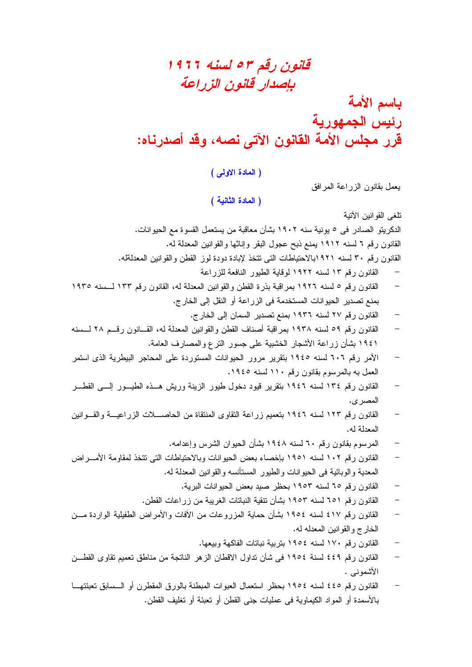## قانون رقم ۳ م لسنه ۱۹۲۶ بإصدار قانون الزراعة

باسم الأمة رئيس الجمهورية قُرر مجلس الأمة القانون الآتى نصه، وقد أصدرناه:

(المادة الاولى)

يعمل بقانون الزراعة المرافق

(المادة الثانية )

تلغى القوانين الأتية

الدكريتو الصـادر في ٥ يونية سنه ١٩٠٢ بشأن معاقبة من يستعمل القسوة مع الحيوانات.

القانون رقم ٦ لسنه ١٩١٢ يمنع ذبح عجول البقر وإناثها والقوانين المعدلة له.

- القانون رقم ٣٠ لسنه ٩٢١بالاحتياطات التي نتخذ لإبادة دودة لوز القطن والقوانين المعدلةله.
	- القانون رقم ١٣ لسنه ١٩٢٢ لوقاية الطيور النافعة للزراعة
- القانون رقم ٥ لسنه ١٩٢٦ بمراقبة بذرة القطن والقوانين المعدلة له، القانون رقم ١٣٣ لــسنه ١٩٣٥ بمنع تصدير الحيوانات المستخدمة في الزراعة أو النقل إلى الخارج.
	- القانون رقم ٢٧ لسنه ١٩٣٦ بمنع تصدير السمان إلى الخارج.
- القانون رقم ٥٩ لسنه ١٩٣٨ بمراقبة أصناف القطن والقوانين المعدلة له، القـــانون رقـــم ٢٨ لـــسنه ١٩٤١ بشأن زراعة الأشجار الخشبية على جسور النرع والمصارف العامة.
- الأمر رقم ٦٠٦ لسنه ١٩٤٥ بنقرير مرور الحيوانات المستوردة على المحاجر البيطرية الذي استمر العمل به بالمرسوم بقانون رقم ١١٠ لسنه ١٩٤٥.
- القانون رقم ١٣٤ لسنه ١٩٤٦ بنقرير قيود دخول طيور الزينة وريش هــذه الطيـــور إلــــى القطـــر المصر ي.
- القانون رقم ١٢٣ لسنه ١٩٤٦ بنعميم زراعة النقاوى المنتقاة من الحاصــــلات الزراعيـــة والقـــوانين المعدلة له.
	- المرسوم بقانون رقم ٦٠ لسنه ١٩٤٨ بشأن الحيوان الشرس وإعدامه.
- القانون رقم ١٠٢ لسنه ١٩٥١ بإخصاء بعض الحيوانات وبالاحتياطات التي نتخذ لمقاومة الأمـــراض المعدية و الوبائية في الحيو انات و الطيور المستأنسه و القو انين المعدلة له.
	- القانون رقم ٦٥ لسنه ١٩٥٣ بحظر صبد بعض الحيوانات البرية.
	- القانون رقم ٦٥١ لسنه ١٩٥٣ بشأن نتقية النباتات الغريبة من زر اعات القطن.
- القانون رقم ٤١٧ لسنه ١٩٥٤ بشأن حماية المزروعات من الأفات والأمراض الطفيلية الواردة مـــن  $\frac{1}{2}$ الخارج والقوانين المعدله له.
	- القانون رقم ١٧٠ لسنه ١٩٥٤ بتربية نباتات الفاكهة وبيعها.
- القانون رقم ٤٤٩ لسنة ١٩٥٤ في شأن تداول الاقطان الزهر الناتجة من مناطق تعميم تقاوى القطــن الأشموني .
- القانون رقم ٤٤٥ لسنه ١٩٥٤ بحظر استعمال العبوات المبطنة بالورق المقطرن أو الــسابق تعبئتهـــا  $\equiv$ بالأسمدة أو المواد الكيماوية في عمليات جنبي القطن أو نعبئة أو نغليف القطن.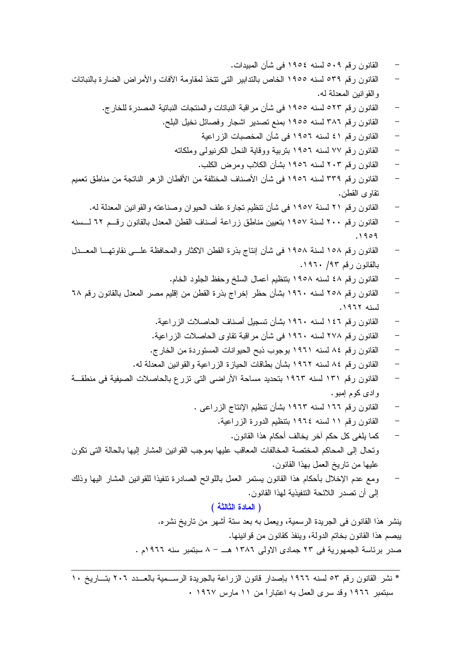- القانون رقم ٥٠٩ لسنه ١٩٥٤ في شأن المبيدات.
- القانون رقم ٥٣٩ لسنه ١٩٥٥ الخاص بالتدابير التي نتخذ لمقاومة الأفات والأمراض الضارة بالنباتات و القو انين المعدلة له.
	- القانون رقم ٥٢٣ لسنه ١٩٥٥ في شأن مر اقبة النباتات والمنتجات النباتية المصدرة للخارج.
		- القانون رقم ٣٨٦ لسنه ١٩٥٥ بمنع تصدير اشجار وفصائل نخيل البلح.
			- القانون رقم ٤١ لسنه ١٩٥٦ في شأن المخصبات الزراعية
			- القانون رقم ٧٧ لسنه ١٩٥٦ بنربية ووقاية النحل الكرنبولي وملكاته
				- القانون رقم ٢٠٣ لسنه ١٩٥٦ بشأن الكلاب ومرض الكلب.
- القانون رقم ٣٣٩ لسنه ١٩٥٦ في شأن الأصناف المختلفة من الأقطان الزهر الناتجة من مناطق تعميم نقاو ي القطن.
	- القانون رقم ٢١ لسنة ١٩٥٧ في شأن تنظيم تجارة علف الحيوان وصناعته والقوانين المعدلة له.
- القانون رقم ٢٠٠ لسنة ١٩٥٧ بتعيين مناطق زراعة أصناف القطن المعدل بالقانون رقــم ٦٢ لـــسنه  $.1909$
- القانون رقم ١٥٨ لسنة ١٩٥٨ في شأن إنتاج بذرة القطن الاكثار والمحافظة علــي نقاوتهـــا المعـــدل بالقانون رقم ۹۳/ ۱۹۶۰.
	- القانون رقم ٤٨ لسنه ١٩٥٨ بنتظيم أعمال السلخ وحفظ الجلود الخام.
- القانون رقم ٢٥٨ لسنه ١٩٦٠ بشأن حظر إخراج بذرة القطن من إقليم مصر المعدل بالقانون رقم ٦٨ لسنه ١٩٦٢.
	- القانون رقم ١٤٦ لسنه ١٩٦٠ بشأن تسجيل أصناف الحاصلات الزراعية.
	- القانون رقم ٢٧٨ لسنه ١٩٦٠ في شأن مراقبة نقاوى الحاصلات الزراعية.
	- القانون رقم ٨٤ لسنه ١٩٦١ بوجوب ذبح الحيوانات المستوردة من الخارج.
	- القانون رقم ٨٤ لسنه ١٩٦٢ بشأن بطاقات الحيازة الزراعية والقوانين المعدلة له.
- القانون رقم ١٣١ لسنه ١٩٦٣ بتحديد مساحة الأراضي التي تزرع بالحاصلات الصيفية في منطقــة و ادی کو م اِمبو .
	- القانون رقم ١٦٦ لسنه ١٩٦٣ بشأن نتظيم الإنتاج الزراعي .
		- القانون رقم ١١ لسنه ١٩٦٤ بنتظيم الدورة الزراعية.
- كما يلغي كل حكم أخر يخالف أحكام هذا القانون. ونحال إلى المحاكم المختصة المخالفات المعاقب عليها بموجب القوانين المشار إليها بالحالة التي نكون عليها من تاريخ العمل بهذا القانون.
- ومع عدم الإخلال بأحكام هذا القانون يستمر العمل باللوائح الصادرة نتفيذا للقوانين المشار اليها وذلك إلى أن تصدر اللائحة التتفيذية لهذا القانون.

#### (المادة الثالثة)

ينشر هذا القانون في الجريدة الرسمية، ويعمل به بعد ستة أشهر من ناريخ نشره. يبصم هذا القانون بخاتم الدولة، وينفذ كقانون من قوانينها. صدر برئاسة الجمهورية في ٢٣ جمادى الاولى ١٣٨٦ هـ – ٨ سبتمبر سنه ١٩٦٦م .

<sup>\*</sup> نشر القانون رقم ٥٣ لسنه ١٩٦٦ بإصدار قانون الزراعة بالجريدة الرســمية بالعــدد ٢٠٢ بتــاريخ ١٠ سبتمبر ١٩٦٦ وقد سرى العمل به اعتباراً من ١١ مارس ١٩٦٧ .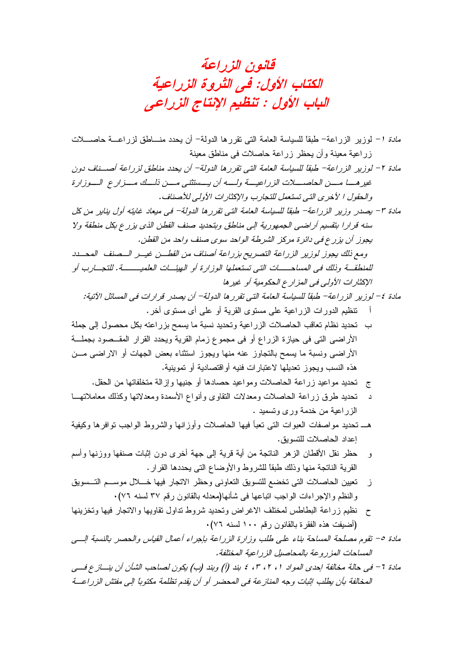قانون الزراعة الكتاب الأول: في الثروة الزراعية الباب الأول : تنظيم الإنتاج الزراعي

م*ادة 1*– لوزير الزراعة– طبقًا للسياسة العامة التي تقررها الدولة– أن يحدد منـــاطق لزراعـــة حاصــــلات زراعية معينة وأن يحظر زراعة حاصلات في مناطق معينة مادة ٢ – لوزير الزراعة– طبقاً للسياسة العامة التي تقررها الدولة– أن يحدد مناطق لزراعة أصـــناف دون غير هــــا مــــن الحاصـــــلات الزراعيـــة ولــــه أن يـــستثنـى مـــن ذلـــك مـــزار ع الـــوزارة والحقول ا لأخرى التي تستعمل للتجارب والإكثار ات الأولى للأصناف . مادة ٣- بصدر وزير الزراعة- طبقًا للسباسة العامة التي تقرر ها الدولة- في مبعاد غابته أول بنابر من كل سنه قرارا بتقسيم أراضي الجمهورية الى مناطق وبتحديد صنف القطن الذي يزرع بكل منطقة ولا بجوز أن بز رح في دائر ة مركز الشرطة الواحد سوى صنف واحد من القطن. ومع ذلك يجوز لوزير الزراعة التصريح بزراعة أصناف من القطسن غيس السصنف المحسدد للمنطقــة وذلك في المساحـــــات التي تستعملها الوزار ة أو الهيئــات العلمبــــــة. للتجـــارب أو الإكثار ات الأولى في المزارع الحكومية أو خبر ها مادة ٤ – لوزير الزراعة – طبقاً للسياسة العامة التي تقرر ها الدولة – أن بصدر قرار ات في المسائل الآنية: نتظيم الدورات الزراعية على مستوى القرية أو على أي مستوى أخر . ب تحديد نظام تعاقب الحاصلات الز ر اعبة وتحديد نسبة ما بسمح بز ر اعته بكل محصول إلى جملة الأراضي التي في حيازة الزراع أو في مجموع زمام القرية ويحدد القرار المقــصود بجملـــة الأر اضبي ونسبة ما بسمح بالتجاوز عنه منها وبجوز استثناء بعض الجهات أو الاراضبي مـــز، هذه النسب ويجوز تعديلها لاعتبارات فنيه أواقتصادية أو تموينية. ج نحديد مواعيد زراعة الحاصلات ومواعيد حصادها أو جنيها وإزالة متخلفاتها من الحقل. تحديد طرق زراعة الحاصلات ومعدلات النقاوي وأنواع الأسمدة ومعدلاتها وكذلك معاملاتهــا الز راعية من خدمة ورى وتسميد . هــ نحديد مواصفات العبوات التبى نعبأ فيها الحاصلات وأوزانها والشروط الواجب نوافرها وكيفية اعداد الحاصلات للتسويق. حظر نقل الأقطان الزهر الناتجة من أية قرية إلى جهة أخرى دون إثبات صنفها ووزنها وأسم و القرية الناتجة منها وذلك طبقا للشروط والأوضاع التي يحددها القرار . تعيين الحاصلات التي تخضع للتسويق التعاوني وحظر الاتجار فيها خـــلال موســـم التـــسويق  $\ddot{\phantom{1}}$ والنظم والإجراءات الواجب انباعها في شأنها(معدله بالقانون رقم ٣٧ لسنه ٧٦). ح نظيم زراعة البطاطس لمختلف الاغراض وتحديد شروط تداول نقاويها والاتجار فيها وتخزينها (أضبِفت هذه الفقر ة بالقانون رقم ١٠٠ لسنه ٧٦). مادة ٥– تقوم مصلحة المساحة بناء على طلب وزارة الزراعة بإجراء أعمال القياس والحصر بالنسبة السي المساحات المز ر و عة بالمحاصيل الز ر اعبة المختلفة . مادة 7- في حالة مخالفة إحدى المواد ١، ٢، ٢، ٤ بند (أ) وبند (ب) بكون لصاحب الشأن أن بنساز ع فسي المخالفة بأن بطلب إثبات وجه المنازعة في المحضر أو أن بقدم تظلمة مكتوباً إلى مفتش الزراعـــة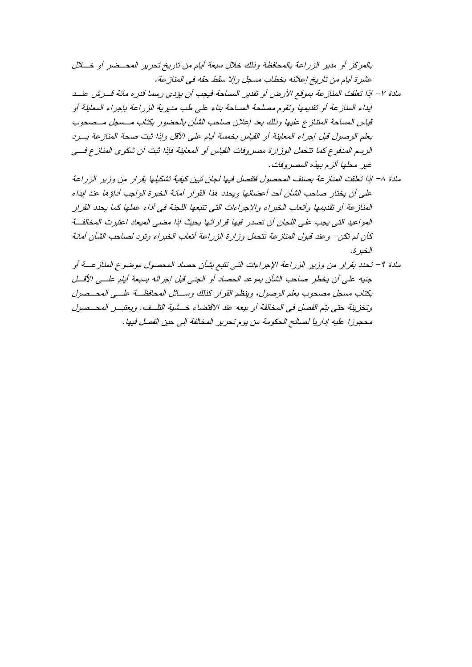- مادة ٨– إذا تعلقت المنازعة بصنف المحصول فتفصل فيها لجان تبين كيفية تشكيلها بقرار من وزير الزراعة على أن يختار صاحب الشأن أحد أعضائها ويحدد هذا القرار أمانة الخبرة الواجب أداؤها عند ايداء المناز عة أو تقديمها وأتعاب الخبراء والإجراءات التي تتبعها اللجنة في أداء عملها كما بحدد القرار المواعيد التي يجب على اللجان أن تصدر فيها قرار إتها بحيث إذا مضبي الميعاد اعتبرت المخالفة كأن لم تكن– وعند قبول المنازعة تتحمل وزارة الزراعة أتعاب الخبراء وترد لصاحب الشأن أمانة الخبر ة.
- مادة ٩- تحدد بقرار من وزير الزراعة الإجراءات التي تتبع بشأن حصاد المحصول موضوع المناز عــة أو جنيه على أن يخطر صاحب الشأن بموعد الحصاد أو الجني قبل إجرائه بسبعة أيام علــي الأقــل بكتاب مسجل مصحوب بعلم الوصول، وينظم القرار كذلك وسلائل المحافظة علـــى المحــصول وتخزينة حتى يتم الفصل في المخالفة أو بيعه عند الاقتضاء خــشية التلــف. ويعتبــر المحــصول محجوزا عليه إدارياً لصالح الحكومة من يوم تحرير المخالفة إلى حين الفصل فيها.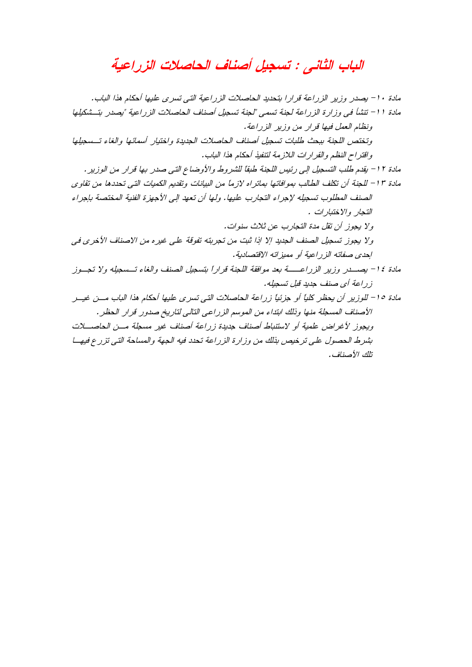## الباب الثاني : تسجيل أصناف الحاصلات الزراعية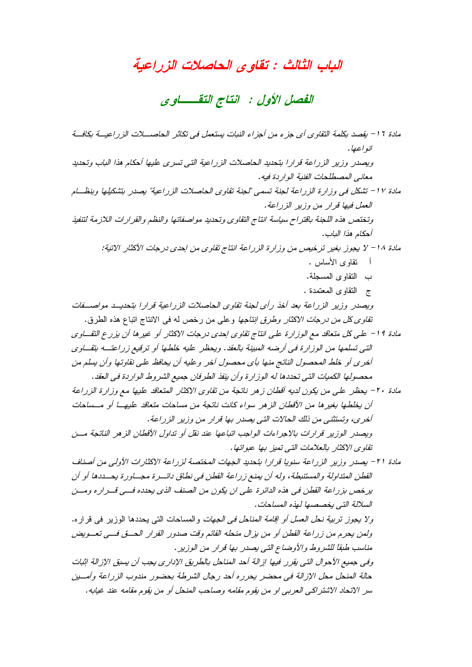#### الباب الثالث : تقاوى الحاصلات الزراعية

الفصل الأول : انتاج التقـــاوي

مادة 11 – بقصد بكلمة النقاوي أي جزء من أجزاء النبات بستعمل في تكاثر الحاصــــلات الزراعيـــة بكافـــة انو اعبا . وبصدر وزير الزراعة قرارا بتحديد الحاصلات الزراعية التي تسرى عليها أحكام هذا الباب وتحديد معاني المصطلحات الفنية الوار دة فيه . مادة ١٧ - تشكل في وزارة الزراعة لجنة تسمى "لجنة تقاوى الحاصلات الزراعية" بصدر بتشكيلها وبنظــام العمل فيها قرار من وزير الزراعة. وتختص هذه اللجنة باقتراح سياسة انتاج التقاوى وتحديد مواصفاتها والنظم والقرارات اللازمة لتنفيذ أحكام هذا الباب. مادة 1۸ – لا يجوز بغير ترخيص من وزارة الزراعة انتاج تقاوى من احدى درجات الأكثار الاتية: أ نقاو ي الأساس . ب النقاوى المسجلة. ج النقاوي المعتمدة . ويصدر وزير الزراعة بعد أخذ رأى لجنة تقاوى الحاصلات الزراعية قرارا بتحديــد مواصـــفات تق*اوى كل من درجات الاكثار وطرق انتاجها* وعلى من رخص له في الانتاج اتباع هذه الطرق. مادة 19 – على كل متعاقد مع الوزارة على انتاج تقاوى إحدى درجات الاكثار أو غيرها أن يزرع التقــاوى التي تسلمها من الوزارة في أرضه المبينة بالعقد. ويحظر عليه خلطها أو ترقيع زراعتــه بتقــاوي أخرى أو خلط المحصول الناتج منها بأي محصول أخر و عليه أن يحافظ على نقاوتها وأن بسلم من محصولها الكميات التي تحددها له الوزارة وأن ينفذ الطرفان جميع الشروط الواردة في العقد. مادة ٢٠ – يحظر على من يكون لديه أفطان زهر ناتجة من تقاوى الاكثار المتعاقد عليها مع وزارة الزراعة أن يخلطها بغير ها من الأفطان الز هر سواء كانت ناتجة من مساحات متعاقد عليهـــا أو مــساحات أخرى، وتستثني من ذلك الحالات التي يصدر بها قرار من وزير الزراعة. وبصدر الوزير قرارات بالإجراءات الواجب اتباعها عند نقل أو تداول الأقطان الزهر الناتجة مسن تقاوى الاكثار بالعلامات التي تميز بها عبواتها. مادة ٢١ – يصدر وزير الزراعة سنويا قرارا بتحديد الجهات المختصة لزراعة الاكثارات الأولى من أصناف القطن المتذاولة والمستنبطة، وله أن يمنع زراعة القطن في نطاق دائـــرة مجـــاورة يحـــددها أو أن بر خص بز راعة القطن في هذه الدائر ة على إن يكون من الصنف الذي بحدده في قب ار ه ومين السلالة التي بخصصها لهذه المساحات. ولا يجوز تربية نحل العسل أو اقا*مة المناحل في الجهات* والمساحات التي يحددها الوزير في قراره. ولمن بحرم من زراعة القطن أو من بزال منحله القائم وقت صدور القرار الحسق فسي تعسويض مناسب طبقاً للشروط والأوضاع التي يصدر بها قرار من الوزير. وفي جميع الأحوال التي يقرر فيها إزالة أحد المناحل بالطريق الإداري يجب أن بسبق الإزالة إثبات حالة المنحل محل الإزالة في محضر يحرر ه أحد رجال الشرطة بحضور مندوب الزراعة وأمسين سر الاتحاد الاشتراكي العربي او من يقوم مقامه وصاحب المنحل أو من يقوم مقامه عند غيابه.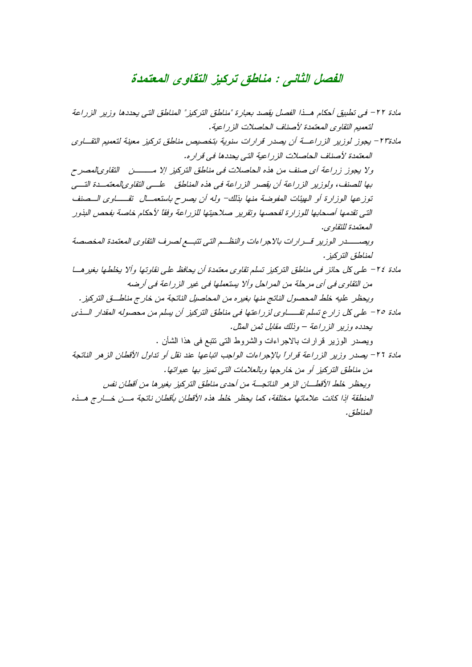## الفصل الثاني : مناطق تركيز التقاوى المعتمدة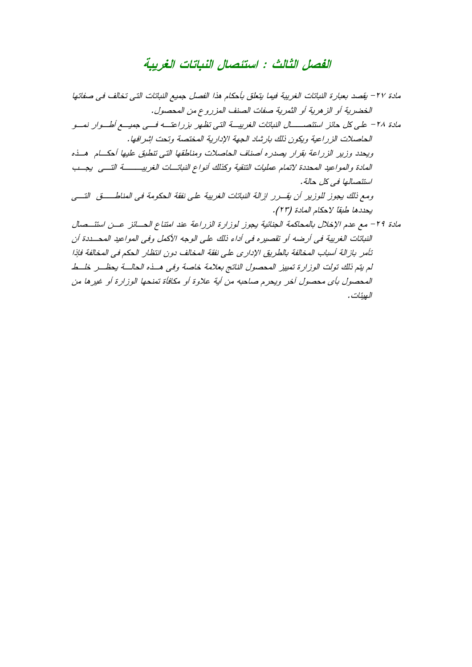## الفصل الثالث : استئصال النباتات الغريبة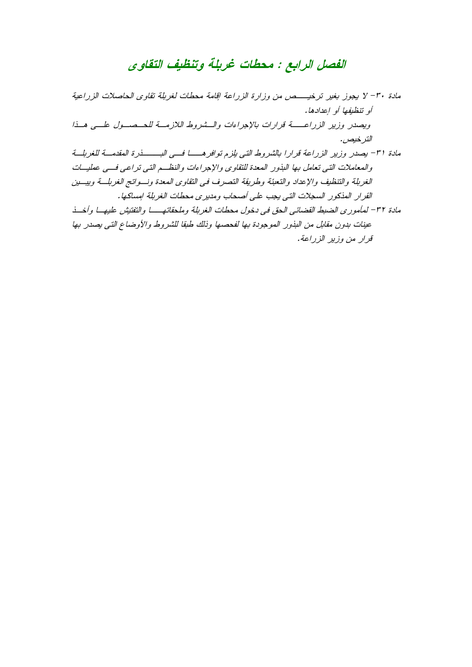# الفصل الرابع : محطات غربلة وتنظيف التقاوى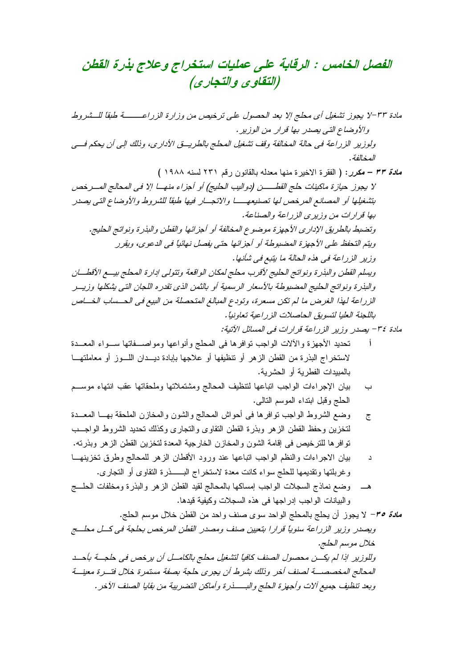### الفصل الخامس : الرقابة على عمليات استخراج وعلاج بذرة القطن (التقاوى والتجارى)

- تحديد الأجهزة والألات الواجب نوافرها في المحلج وأنواعها ومواصـــفاتها ســـواء المعـــدة  $\mathbf{j}$ لاستخراج البذرة من القطن الزهر أو نتظيفها أو علاجها بإبادة ديــدان اللـــوز أو معاملتهـــا بالمبيدات الفطرية أو الحشرية.
- بيان الإجراءات الواجب اتباعها لتتظيف المحالج ومشتملاتها وملحقاتها عقب انتهاء موســم  $\overline{\phantom{0}}$ الحلج وقبل ابتداء الموسم النالبي.
- وضع الشروط الواجب نوافرها في أحواش المحالج والشون والمخازن الملحقة بهـــا المعـــدة  $\overline{c}$ لتخزين وحفظ القطن الزهر وبذرة القطن النقاوى والنجارى وكذلك نحديد الشروط الواجــب توافر ها للترخيص في إقامة الشون والمخازن الخارجية المعدة لتخزين القطن الزهر وبذرته.
- بيان الاجراءات والنظم الواجب اتباعها عند ورود الأقطان الزهر للمحالج وطرق تخزينهـــا د
- وضع نماذج السجلات الواجب إمساكها بالمحالج لقيد القطن الزهر والبذرة ومخلفات الحلسج والبيانات الواجب إدراجها في هذه السجلات وكيفية قيدها.
- *مادة ٣٥* لا يجوز أن يحلج بالمحلج الواحد سوى صنف واحد من القطن خلال موسم الحلج. ويصدر وزير الزراعة سنوياً قرارا بتعيين صنف ومصدر القطن المرخص بحلجة في كسل محلسج خلال موسم الحلج. وللوزير اذا لم يكـــن محصول الصنف كافياً لتشغيل محلج بالكامـــل أن يرخص في حلجـــة بأحـــد المحالج المخصصـــــة لصنف أخر وذلك بشرط أن يجرى حلجة بصفة مستمرة خلال فتــــرة معينــــة وبعد تنظيف جميع آلات وأجهزة الحلج والبـــــذرة وأماكن التضريبة من بقايا الصنف الآخر .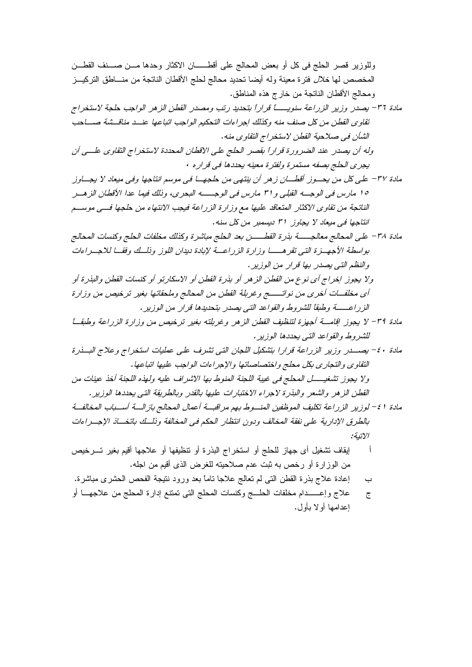المخصص لها *خلال* فترة معينة وله أيضا تحديد محالج لحلج الأقطان الناتجة من منـــاطق التركيـــز ومحالج الأقطان الناتجة من خارج هذه المناطق.

مادة ٣٦- بصدر وزير الزراعة سنويـــــاً قراراً بتحديد رتب ومصدر القطن الزهر الواجب حلجة لاستخراج تقاوى القطن من كل صنف منه وكذلك إجراءات التحكيم الواجب اتباعها عنسد مناقسشة صساحب الشأن في صلاحية القطن لاستخراج النقاوي منه.

وله أن يصدر عند الضرورة قراراً بقصر الحلج على الاقطان المحددة لاستخراج التقاوى علـــى أن يجرى الحلج بصفه مستمرة ولفترة معينه يحددها في قراره •

- مادة ٣٧ علي كل من يحسوز أقطـــان زهر أن ينتهي من حلجهــا في موسم انتاجها وفي ميعاد لا يجـــاوز ١٥ مارس في الوجــه القبلي و٣١ مارس في الوجــــه البحري، وذلك فيما عدا الأقطان الزهــر الناتجة من تقاوى الاكثار المتعاقد عليها مع وزارة الزراعة فيجب الانتهاء من حلجها فسي موسسم انتاجها في ميعاد لا يجاوز ٣١ ديسمبر من كل سنه.
- بواسطة الأجهــزة التـى تقرهـــــا وزارة الزراعـــة لإبادة ديدان اللوز وذلــك وفقــا للاجـــراءات و النظم التي يصدر بها قرار من الوزير.
- ولا يجوز اخراج أي نوع من القطن الزهر أو بذرة القطن أو الاسكارتو أو كنسات القطن والبذرة أو أي مخلفــات أخرى من نواتــــــــج وغربلة القطن من المحالج وملحقاتها بغير ترخيص من وزارة الزراعــــة وطبقاً للشروط والقواعد التبي بصدر يتحديدها قرار من الوزير .
- مادة ٣٩- لا يجوز إقامـــة أجهزة لتنظيف القطن الزهر وغربلته بغير ترخيص من وزارة الزراعة وطبقـــا للشروط والقواعد التي يحددها الوزير.
- مادة ٤٠- يصدر وزير الزراعة قرارا بتشكيل اللجان التي تشرف على عمليات استخراج وعلاج البلذرة التقاوى والتجاري بكل محلج واختصاصاتها والإجراءات الواجب عليها اتباعها. ولا يجوز تشغيــــــل المحلج في غيبة اللجنة المنوط بها الاشراف عليه ولهذه اللجنة أخذ عينات من

القطن الزهر والشعر والبذرة لاجراء الاختبارات عليها بالقدر وبالطريقة التي يحددها الوزير.

- مادة 1 ٤– لوزير الزراعة تكليف الموظفين المنسوط بهم مراقبة أعمال المحالج بازالسة أسسباب المخالفة بالطرق الإدارية على نفقة المخالف ودون انتظار الحكم في المخالفة وذلك باتخــاذ الإجــراءات الاتنة:
- ايقاف تشغيل أي جهاز للحلج أو استخراج البذرة أو نتظيفها أو علاجها أقيم بغير تسر خيص ाँ من الوزارة أو رخص به ثبت عدم صلاحيته للغرض الذي أقيم من اجله.
- إعادة علاج بذرة القطن التي لم تعالج علاجا ناماً بعد ورود نتيجة الفحص الحشرى مباشرة.  $\overline{\phantom{0}}$
- علاج وإعــــــدام مخلفات الحلــــج وكنسات المحلج النبي تمتنع إدارة المحلج من علاجهـــا أو  $\tilde{c}$ اعدامها أو لا بأول.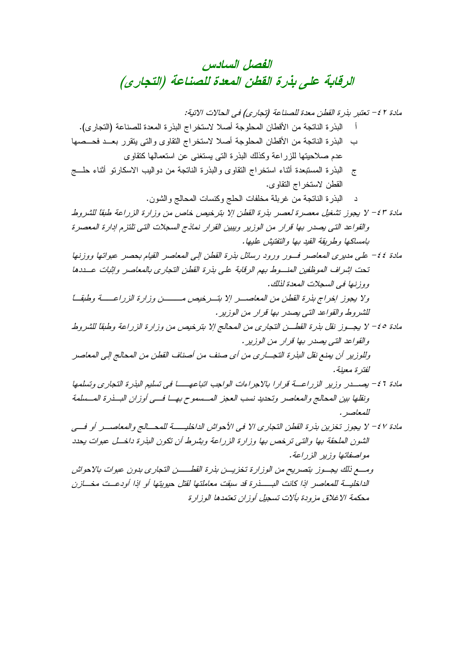محكمة الاغلاق مزودة بألات تسجيل أوزان تعتمدها الوزارة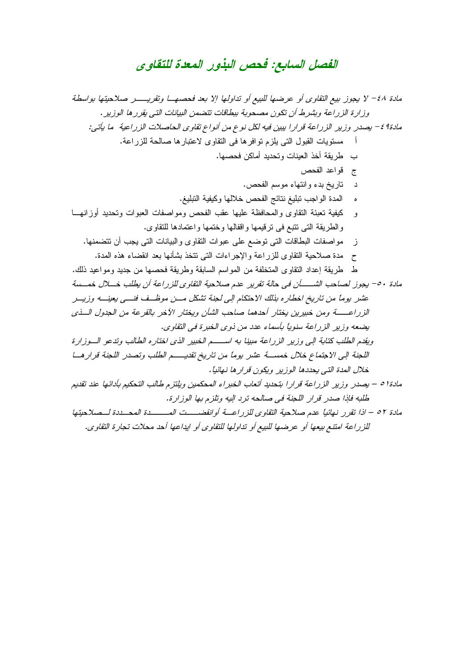## الفصل السابع: فحص البذور المعدة للتقاوى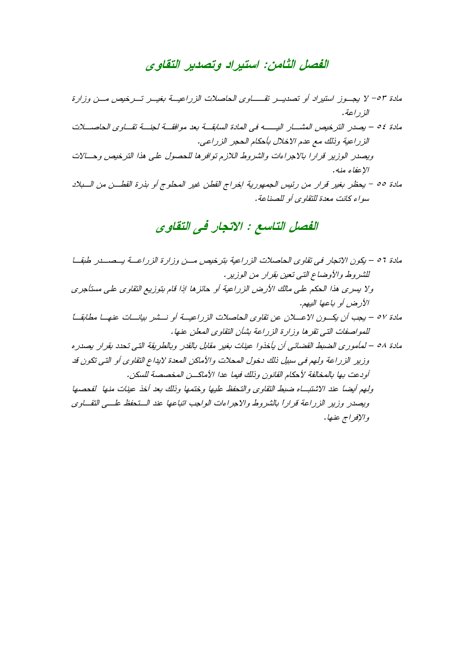#### الفصل الثامن: استيراد وتصدير التقاوى

#### الفصل التاسع : الاتجار في التقاوي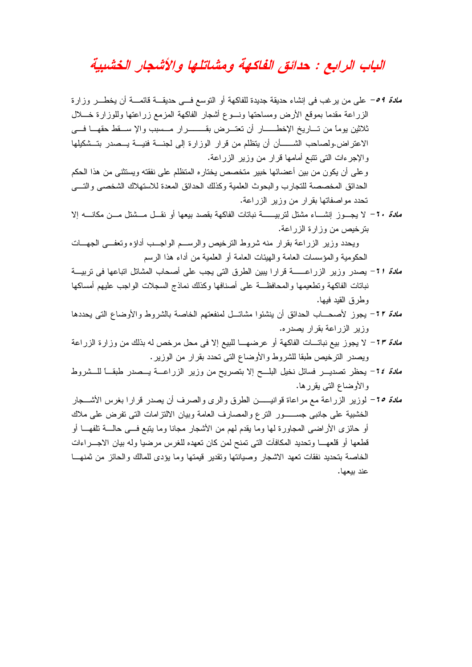## الباب الرابع : حدائق الفاكهة ومشاتلها والأشجار الخشبية

*مادة 9 ه*– على من يرغب في إنشاء حديقة جديدة للفاكهة أو النوسع فـــي حديقـــة قائمـــة أن يخطـــر وزارة الزراعة مقدما بموقع الأرض ومساحتها ونسوع أشجار الفاكهة المزمع زراعتها وللوزارة خـــلال ثلاثين بوماً من تـــاريخ الإخطــــــار أن تعتـــرض بقـــــــــرار مـــسبب والإ ســـقط حقهـــا فـــي الاعتر اض، ولصاحب الشــــــأن أن بتظلم من قر ار الوز ار ة إلى لجنـــة فنيـــة بـــصدر بتـــشكيلها ۖ والإجرءات التي تتبع أمامها قرار من وزير الزراعة. و علي أن يكون من بين أعضائها خبير متخصص بختار ه المتظلم علي نفقته ويستثني من هذا الحكم الحدائق المخصصة للتجار ب و البحوث العلمية وكذلك الحدائق المعدة للاستهلاك الشخصبي و التسي تحدد مواصفاتها بقرار من وزير الزراعة. ملاءً ٢٠ – لا بجــوز انشـــاء مشتل لتربيـــــــــة نباتات الفاكهة بقصد ببعها أو نقــل مـــشتل مـــن مكانــــه إلا بترخيص من وزارة الزراعة. ويحدد وزير الزراعة بقرار منه شروط الترخيص والرسم الواجب أداؤه وتعفي الجهسات الحكومية والمؤسسات العامة والهيئات العامة أو العلمية من أداء هذا الرسم نباتات الفاكهة وتطعيمها والمحافظة على أصنافها وكذلك نماذج السجلات الواجب عليهم أمساكها وطرق القبد فبها. *مادة ٢٢* - يجوز لأصحــــاب الحدائق أن ينشئوا مشاتـــل لمنفعتهم الخاصـة بالشروط والأوضـاع التي يحددها وزير الزراعة بقرار بصدره. ملاءً 1٣− لا يجوز بيع نباتـــات الفاكهة أو عرضهـــا للبيع إلا في محل مرخص له بذلك من وزارة الزراعة ويصدر الترخيص طبقا للشروط والأوضاع التي تحدد بقرار من الوزير . ملاة ٢٤- يحظر تصديـــر فسائل نخيل البلـــح إلا بتصريح من وزير الزراعـــة يـــصدر طبقـــا للـــشروط والأوضاع التي بقررها. *مادة 10*- لوزير الزراعة مع مراعاة فوانيـــــن الطرق والري والصرف أن يصدر قرارا بغرس الأشـــجار الخشبية على جانبي جســـــور النرع والمصـارف العامة وبيان الالنزامات الني نفرض على ملاك أو حائزي الأراضبي المجاورة لها وما يقدم لهم من الأشجار مجانا وما يتبع فـــي حالــــة تلفهــــا أو قطعها أو قلعهـــا وتحديد المكافآت التي تمنح لمن كان تعهده للغرس مرضيا وله بيان الاجـــراءات الخاصة بتحديد نفقات تعهد الاشجار وصيانتها وتقدير فيمتها وما يؤدى للمالك والحائز من ثمنهـــا

عند يبعها.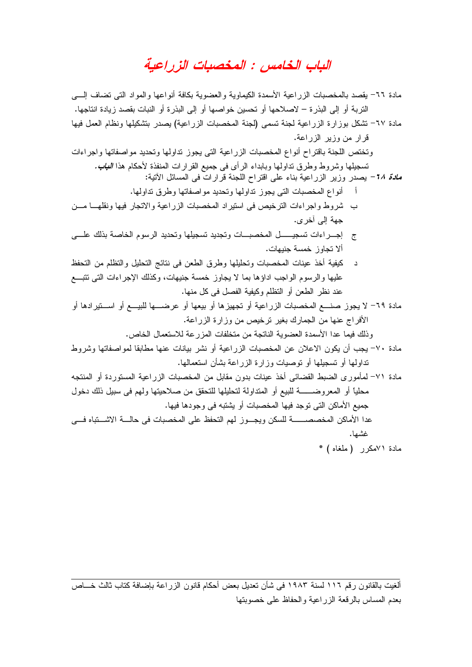#### الياب الخامس : المخصيات الزراعية

مادة ٦٦– يقصد بالمخصبات الزراعية الأسمدة الكيماوية والعضوية بكافة أنواعها والمواد التي نضاف إلـــي النَّربة أو إلى البذرة – لاصلاحها أو تحسين خواصها أو إلى البذرة أو النبات بقصد زيادة انتاجها. مادة ٦٧– نشكل بوزارة الزراعية لجنة نسمى (لجنة المخصبات الزراعية) يصدر بتشكيلها ونظام العمل فيها قرار من وزير الزراعة. وتختص اللجنة باقتراح أنواع المخصبات الزراعية التي يجوز تداولها وتحديد مواصفاتها واجراءات تسجيلها وشروط وطرق نداولها وبابداء الرأى فى جميع القرارات المنفذة لأحكام هذا *النباب.* ملاة 14- بصدر وزير الزراعية بناء على افتراح اللجنة فرارات في المسائل الأتية: أ أنواع المخصبات التي يجوز نداولها وتحديد مواصفاتها وطرق نداولها. ب شروط واجراءات الترخيص في استيراد المخصبات الزراعية والاتجار فيها ونقلهـــا مـــن حهة الى آخر ي. ج إجـــراءات تسجيـــــــل المخصبـــات وتجديد تسجيلها وتحديد الرسوم الخاصة بذلك علــــى ألا تجاوز خمسة جنبهات. د كيفية أخذ عينات المخصبات وتحليلها وطرق الطعن في نتائج التحليل والنظلم من التحفظ عليها والرسوم الواجب اداؤها بما لا يجاوز خمسة جنيهات، وكذلك الإجراءات التي نتبسع عند نظر الطعن أو النظلم وكيفية الفصل في كل منها. مادة ٦٩– لا يجوز صنــــع المخصبات الزراعية أو تجهيزها أو بيعها أو عرضــــها للبيــــع أو اســــتيرادها أو الأفراج عنها من الجمارك بغير نرخيص من وزارة الزراعة. وذلك فيما عدا الأسمدة العضوية الناتجة من متخلفات المزرعة للاستعمال الخاص. مادة ٧٠– يجب أن يكون الاعلان عن المخصبات الزراعية أو نشر بيانات عنها مطابقا لمواصفاتها وشروط نداولها أو نسجيلها أو نوصيات وزارة الزراعة بشأن استعمالها. مادة ٧١– لمأموري الضبط القضائي أخذ عينات بدون مقابل من المخصبات الزراعية المستوردة أو المنتجه محليًا أو المعروضـــــــــــــة للبيع أو المتداولة لتحليلها للتحقق من صـلاحيتها ولـهم فـي سبيل ذلك دخول جميع الأماكن التي توجد فيها المخصبات أو يشتبه في وجودها فيها. غشها. مادة ٧١مكرر (ملغاه) \*

ألغيت بالقانون رقم ١١٦ لسنة ١٩٨٣ في شأن تعديل بعض أحكام قانون الزراعة بإضافة كتاب ثالث خـــاص بعدم المساس بالرقعة الزراعية والحفاظ علىي خصوبتها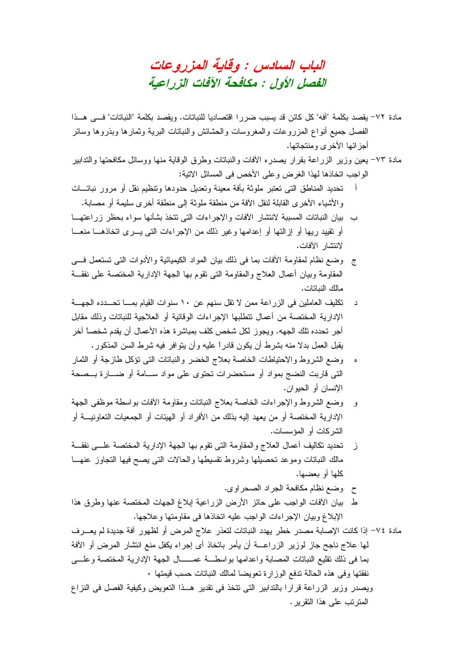الباب السادس : وقاية المزروعات الفصل الأول : مكافحة الآفات الزراعية

- مادة ٧٢– يقصد بكلمة "آفه" كل كائن قد يسبب ضرررا اقتصاديا للنباتات. ويقصد بكلمة "النباتات" فـــي هـــذا الفصل جميع أنواع المزروعات والمغروسات والحشائش والنباتات البرية وثمارها وبذروها وسائر أجز ائها الأخر ي ومنتجاتها.
- مادة ٧٣– يعين وزير الزراعة بقرار يصدره الأفات والنباتات وطرق الوقاية منها ووسائل مكافحتها والندابير الواجب اتخاذها لهذا الغرض وعلى الأخص في المسائل الاتية:
- أَ تحديد المناطق التي تعتبر ملوثة بأفة معينة وتعديل حدودها وتنظيم نقل أو مرور نباتـــات والأشياء الأخرى القابلة لنقل الأفة من منطقة ملوثة إلى منطقة أخرى سليمة أو مصابة.
- ب بيان النباتات المسببة لانتشار الأفات والإجراءات التي نتخذ بشأنها سواء بحظر زراعتهــا أو تقييد ربها أو إزالتها أو إعدامها وغير ذلك من الإجراءات التي يــــرى اتخاذهــــا منعــــا لانتشار الآفات.
- ج وضع نظام لمقاومة الأفات بما في ذلك بيان المواد الكيميائية والأدوات التي تستعمل فسي المقاومة وبيان أعمال العلاج والمقاومة التبي نقوم بها الجهة الإدارية المختصة على نفقـــة مالك النباتات.
- تكليف العاملين في الزراعة ممن لا نقل سنهم عن ١٠ سنوات القيام بمــا تحــدده الجهـــة د الإدارية المختصة من أعمال نتطلبها الإجراءات الوفائية أو العلاجية للنباتات وذلك مقابل أجر تحدده تلك الجهه. ويجوز لكل شخص كلف بمباشرة هذه الأعمال أن يقدم شخصاً آخر يقبل العمل بدلا منه بشرط أن يكون قادراً عليه وأن يتوافر فيه شرط السن المذكور .
- وضع الشروط والاحتياطات الخاصة بعلاج الخضر والنباتات التي نؤكل طازجة أو الثمار  $\bullet$ التي قاربت النضج بمواد أو مستحضرات تحتوى على مواد ســـامة أو ضــــارة بـــصحة الانسان أو الحبوان.
- و وضع الشروط و الإجر إءات الخاصة بعلاج النباتات ومقاومة الأفات بو اسطة موظفي الجهة الإدارية المختصــة أو من يعهد إليه بذلك من الأفراد أو الـهيئات أو الـجمعيات التعاونيــــة أو الشركات أو المؤسسات.
- ز تحديد تكاليف أعمال العلاج والمقاومة التي تقوم بها الجهة الإدارية المختصة علـــي نفقـــة مالك النباتات وموعد تحصيلها وشروط تقسيطها والحالات التى بصح فيها التجاوز عنهسا كلها أو بعضبها.
	- ح وضع نظام مكافحة الجراد الصحراوي.
- ط بيان الأفات الواجب على حائز الأرض الزراعية إبلاغ الجهات المختصة عنها وطرق هذا الإبلاغ وبيان الإجر إءات الواجب عليه اتخاذها في مقاومتها و علاجها.
- مادة ٧٤– إذا كانت الإصابة مصدر خطر يهدد النباتات لتعذر علاج المرض أو لظهور أفة جديدة لم يعـــرف لمها علاج ناجح جاز لوزير الزراعــــة أن يأمر باتخاذ أى إجراء يكفل منع انتشار المرض أو الأفة بما في ذلك نقليع النباتات المصابة واعدامها بواسطة عمــــال الجهة الإدارية المختصة وعلـــي نفقتها وفي هذه الحالة ندفع الوزارة نعويضا لمالك النباتات حسب قيمتها .
- ويصدر وزير الزراعة قرارا بالتدابير التي تتخذ في تقدير هــذا التعويض وكيفية الفصل في النزاع المترتب على هذا النقرير .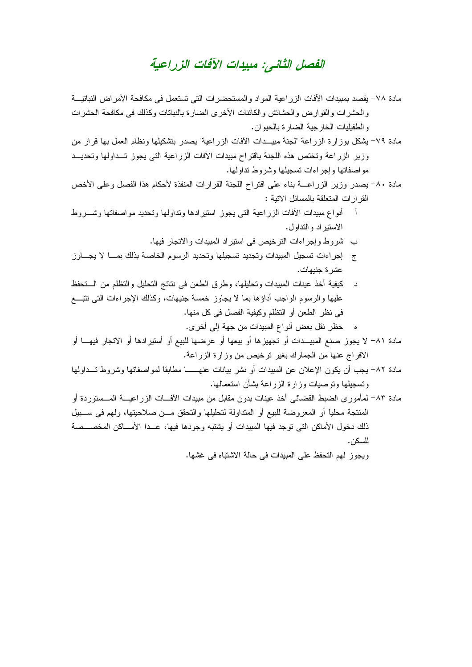#### الفصل الثاني: مبيدات الآفات الزر اعبة

- مادة ٧٨– يقصد بمبيدات الأفات الزراعية المواد والمستحضرات التي تستعمل في مكافحة الأمراض النباتيـــة و الحشر ات و القو ارض و الحشائش و الكائنات الأخر ي الضبار ة بالنباتات وكذلك في مكافحة الحشر ات و الطفيليات الخار جية الضارة بالحيو ان.
- مادة ٧٩- يشكل بوزارة الزراعة "لجنة مبيــدات الأفات الزراعية" يصدر بتشكيلها ونظام العمل بها قرار من وزير الزراعة وتختص هذه اللجنة باقتراح مبيدات الأفات الزراعية التي يجوز تسداولها وتحديسد مو اصفاتها و اجر اءات تسجيلها و شر و ط نداو لها.
- مادة ٨٠- يصدر وزير الزراعــــة بناء على اقتراح اللجنة القرارات المنفذة لأحكام هذا الفصل وعلى الأخص القر ار ات المتعلقة بالمسائل الاتبة :
- أنواع مبيدات الأفات الزراعية التي يجوز استيرادها ونداولها ونحديد مواصفاتها وشسروط الاستبر اد و التداول.
	- ب شروط وإجراءات الترخيص في استيراد المبيدات والاتجار فيها.
- ج \_ إجر اءات تسجيل المبيدات وتجديد تسجيلها وتحديد الرسوم الخاصة بذلك بمـــا لا يجـــاوز عشر ة حنيهات.
- د كيفية أخذ عينات المبيدات وتحليلها، وطرق الطعن في نتائج التحليل والتظلم من الــتحفظ عليها والرسوم الواجب أداؤها بما لا يجاوز خمسة جنيهات، وكذلك الإجراءات التي نتبسع في نظر الطعن أو النظلم وكيفية الفصل في كل منها.
	- ه حظر نقل بعض أنواع المبيدات من جهة إلى أخر ي.
- مادة ٨١– لا يجوز صنع المبيــدات أو تجهيزها أو بيعها أو عرضها للبيع أو أستير ادها أو الاتجار فيهـــا أو الافراج عنها من الجمارك بغير نرخيص من وزارة الزراعة.
- مادة ٨٢- يجب أن يكون الإعلان عن المبيدات أو نشر بيانات عنهــــــا مطابقًا لمواصفاتها وشروط تـــداولها وتسجيلها وتوصيات وزارة الزر اعة بشأن استعمالها.
- مادة ٨٣– لمأمور ي الضبط القضائي أخذ عينات بدون مقابل من مبيدات الآفـــات الزر اعبـــة المـــستور دة أو المنتجة محلياً أو المعروضة للبيع أو المتداولة لتحليلها والتحقق مـــن صلاحيتها، ولهم في ســـبيل ذلك دخول الأماكن التي توجد فيها المبيدات أو يشتبه وجودها فيها، عــدا الأمـــاكن المخصـــصة للسكن.

وبجوز لهم التحفظ على المبيدات في حالة الإشتباه في غشها.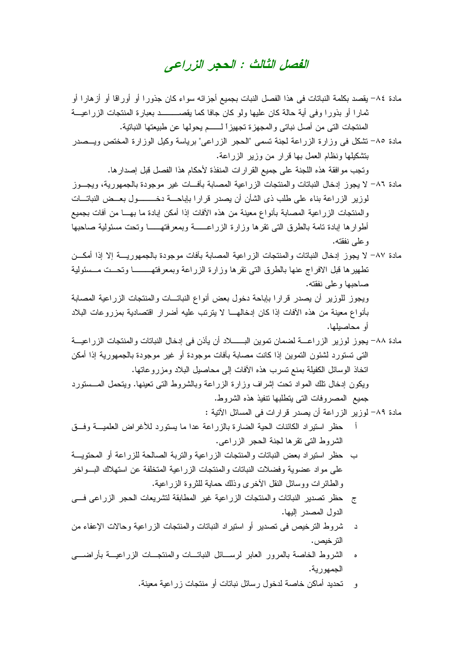#### الفصل الثالث : الحجر الزراعي

- مادة ٨٤– يقصد بكلمة النباتات في هذا الفصل النبات بجميع أجزائه سواء كان جذورا أو أوراقا أو أزهارا أو ثمار ا أو بذور ا وفي أية حالة كان عليها ولو كان جافا كما يقصــــــــــد بعبارة المنتجات الزر اعيـــة المنتجات التي من أصل نباتي و المجهز ة تجهيز ا لــــــم يحولها عن طبيعتها النباتية.
- مادة ٨٥- تشكل في وزارة الزراعة لجنة تسمى "الحجر الزراعي" برياسة وكيل الوزارة المختص ويـــصدر بتشكيلها ونظام العمل بها قرار من وزير الزراعة.

وتجب مو افقة هذه اللجنة على جميع القر ار ات المنفذة لأحكام هذا الفصل قبل إصدار ها.

- مادة ٨٦– لا يجوز إدخال النباتات والمنتجات الزراعية المصابة بأفــات غير موجودة بالجمهورية، ويجـــوز لوزير الزراعة بناء على طلب ذي الشأن أن يصدر فرارا بإباحـــة دخـــــــــول بعـــض النباتـــات والمنتجات الزراعية المصابة بأنواع معينة من هذه الأفات إذا أمكن إبادة ما بهــا من أفات بجميع أطوارها إبادة نامة بالطرق التى نقرها وزارة الزراعــــــة وبمعرفتهــــــا ونحت مسئولية صاحبها و علي نفقته.
- مادة ٨٧– لا بجوز [دخال النباتات والمنتجات الزر اعبة المصابة بآفات موجودة بالجمهور بسة إلا إذا أمكـــن تطهيرها فبل الافراج عنها بالطرق التي تقرها وزارة الزراعة وبمعرفتهــــــــا وتحــت مــسئولية صباحبها وعلى نفقته. ويجوز للوزير أن يصدر قرارا بإباحة دخول بعض أنواع النباتـــات والمنتجات الزراعية المصابة بأنواع معينة من هذه الأفات إذا كان إدخالهـــا لا يترتب عليه أضرار اقتصادية بمزروعات البلاد أو محاصيلها.
- مادة ٨٨– يجوز لوزير الزراعــــة لضمان تموين البــــــــلاد أن يأذن في إدخال النباتات والمنتجات الزراعيـــة التي تستورد لشئون التموين إذا كانت مصابة بأفات موجودة أو غير موجودة بالجمهورية إذا أمكن اتخاذ الوسائل الكفيلة بمنع تسرب هذه الأفات إلى محاصيل البلاد ومزرو عاتها. ويكون إدخال نلك المواد نحت إشراف وزارة الزراعة وبالشروط التبي نعينها. ويتحمل المـــستورد جميع المصر وفات التي يتطلبها نتفيذ هذه الشر وط.
	- مادة ٨٩– لوزير الزراعة أن يصدر قرارات في المسائل الأتية :
- حظر استيراد الكائنات الحية الضارة بالزراعة عدا ما يستورد للأغراض العلميـــة وفـــق الشر وط التي نقر ها لجنة الحجر الزر اعي.
- ب حظر استبر اد بعض النباتات والمنتجات الزر اعبة والتربة الصالحة للزر اعة أو المحتويسة على مواد عضوية وفضلات النباتات والمنتجات الزراعية المتخلفة عن استهلاك البسواخر و الطائر ات ووسائل النقل الأخر ي وذلك حماية للثر و ة الز ر اعية.
- ج حظر تصدير النباتات والمنتجات الزراعية غير المطابقة لتشريعات الحجر الزراعي فسي الدول المصدر البها.
- د شروط الترخيص في تصدير أو استيراد النباتات و المنتجات الزر اعية وحالات الإعفاء من التر خيص .
- الشروط الخاصة بالمرور العابر لرســائل النباتــات والمنتجــات الزراعيـــة بأراضــــى الحمهورية.
	- و تحديد أماكن خاصة لدخول رسائل نباتات أو منتجات زر اعية معينة.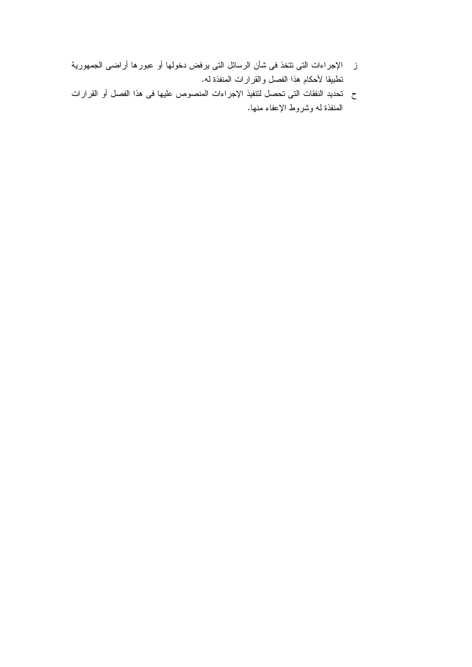- ز الإجراءات التي نتخذ في شأن الرسائل التي يرفض دخولها أو عبورها أراضي الجمهورية نطبيقا لأحكام هذا الفصل والقرارات المنفذة له.
- ح تحديد النفقات التي تحصل لنتفيذ الإجراءات المنصوص عليها في هذا الفصل أو القرارات المنفذة له وشروط الإعفاء منها.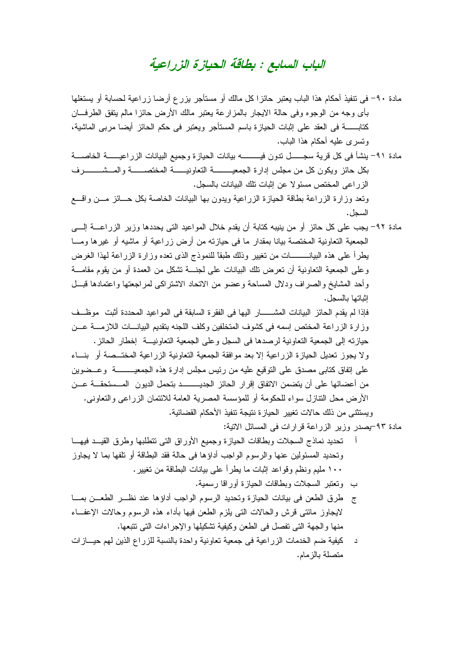#### الباب السابع : بطاقة الحيازة الزراعية

مادة ٩٠– في نتفيذ أحكام هذا الباب يعتبر حائزًا كل مالك أو مستأجر بزرع أرضنا زراعية لحسابة أو يستغلها بأي وجه من الوجوه وفي حالة الايجار بالمزارعة يعتبر مالك الأرض حائزا مالم يتفق الطرفـــان كتابــــــــــة في العقد على إثبات الحيازة باسم المستأجر ويعتبر في حكم الحائز أيضـا مربـي الماشية، وتسرى عليه أحكام هذا الباب.

الز راعى المختص مسئو لا عن إثبات تلك البيانات بالسجل.

ونعد وزارة الزراعة بطاقة الحيازة الزراعية ويدون بها البيانات الخاصة بكل حـــائز مـــن واقــــع السحل.

مادة ٩٢- يجب على كل حائزٍ أو من ينيبه كتابة أن يقدم خلال المواعيد التي يحددها وزير الزراعــــة إلــــي الجمعية التعاونية المختصة بيانا بمقدار ما في حيازته من أرض زراعية أو ماشيه أو غيرها ومـــا بطر أ على هذه البيانــــــــات من تغيير ۖ وذلك طبقًا للنموذج الذي تعده وز ار ة الزر اعة لمهذا الغرض وعلى الجمعية النعاونية أن نعرض نلك البيانات على لجنـــة نشكل من العمدة أو من يقوم مقامـــة وأحد المشايخ والصراف ودلال المساحة وعضو من الانحاد الاشتراكي لمراجعتها واعتمادها قبسل إثباتها بالسجل.

فإذا لم بقدم الحائز البيانات المشـــــــار البها في الفقر ة السابقة في المو اعبد المحددة أثبت مو ظـــف وزارة الزراعة المختص إسمه في كشوف المتخلفين وكلف اللجنه بتقديم البيانسات اللازمسة عسن حيازته إلى الجمعية التعاوينية لرصدها في السجل وعلى الجمعية التعاويبية إخطار الحائز.

ولا يجوز تعديل الحيازة الزراعية إلا بعد موافقة الجمعية التعاونية الزراعية المختــصة أو بنساء على إنفاق كتابي مصدق على النوقيع عليه من رئيس مجلس إدارة هذه الجمعيــــــــــة وعـــضوين من أعضائها على أن يتضمن الاتفاق إقرار الحائز الجديـــــــــد بتحمل الديون المـــستحقـــة عـــن الأر ض محل النتاز ل سواء للحكومة أو للمؤسسة المصرية العامة للائتمان الزر اعي والنعاوني. ويستثني من ذلك حالات تغيير الحياز ة نتيجة تتفيذ الأحكام القضائية.

مادة ٩٣-بصدر وزير الزراعة قرارات في المسائل الاتية:

- أ تحديد نماذج السجلات وبطاقات الحيازة وجميع الأوراق التي نتطلبها وطرق القيـــد فيهـــا و تحديد المسئو لين عنها و الر سو م الو اجب أداؤ ها في حالة فقد البطاقة أو تلفها بما لا يجاو ز ١٠٠ مليم ونظم وقو اعد إثبات ما يطر أ على بيانات البطاقة من تغيير .
	- ب وتعتبر السجلات وبطاقات الحباز ة أور اقا ر سمية.
- ج ً طرق الطعن في بيانات الحيازة وتحديد الرسوم الواجب أداؤها عند نظــــر الطعـــن بمــــا لايجاوز مائتي فرش والحالات التبي يلزم الطعن فيها بأداء هذه الرسوم وحالات الإعفــاء منها والجهة التي تفصل في الطعن وكيفية تشكيلها والإجر اءات التي تتبعها.
- كيفية ضم الخدمات الزراعية في جمعية تعاونية واحدة بالنسبة للزراع الذين لهم حيسازات د متصلة بالز مام.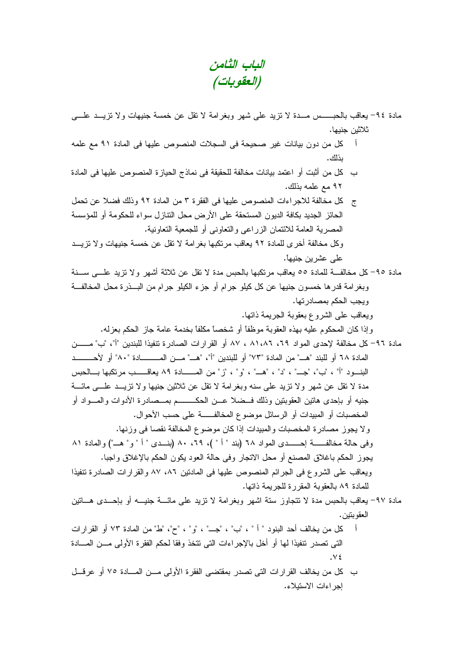الباب الثامن (العقوبات)

مادة ٩٤– يعاقب بالحبـــــس مـــدة لا نزيد على شهر وبغرامة لا نقل عن خمسة جنيهات ولا نزيـــد علــــي ثلاثين جنيها.

- كل من دون بيانات غير صحيحة في السجلات المنصوص عليها في المادة ٩١ مع علمه j ىذلك .
- ب كل من أثبت أو اعتمد بيانات مخالفة للحقيقة في نماذج الحيازة المنصوص عليها في المادة ٩٢ مع علمه يذلك.
- ج كل مخالفة للاجراءات المنصوص عليها في الفقرة ٣ من المادة ٩٢ وذلك فضلا عن نحمل الحائز الجديد بكافة الديون المستحقة على الأرض محل النتازل سواء للحكومة أو للمؤسسة المصر بة العامة للائتمان الز ر اعي و التعاوني أو للجمعية التعاونية.
- وكل مخالفة أخر ي للمادة ٩٢ يعاقب مرتكبها بغر امة لا نقل عن خمسة جنيهات و لا نزيــد علے عشر بن جنبھا.
- مادة ٩٥–كل مخالفـــة للمادة ٥٥ يعاقب مرتكبها بالحبس مدة لا نقل عن ثلاثة أشهر ولا نزيد علــــى ســـنة وبغرامة قدرها خمسون جنيها عن كل كيلو جرام أو جزء الكيلو جرام من البـــذرة محل المخالفـــة ويجب الحكم بمصادرتها.
	- ويعاقب على الشروع بعقوبة الجريمة ذاتها.
	- وإذا كان المحكوم عليه بهذه العقوبة موظفًا أو شخصًا مكلَّفًا بخدمة عامة جاز الحكم بعزله.
- مادة ٩٦– كل مخالفة لإحدى المواد ٢٩، ٨١،٨٦، ٨٧ أو القرارات الصادرة تتفيذا للبندين "أ"، "ب" مــــــن المعادة ٦٨ أو للبند "هـــ" من المـادة "٧٣" أو للبندين "أ"، "هـــ" مـــن المـــــــــــادة "٨٠" أو لأحـــــــــد البنــود "أ" ، "ب"، "جـــ" ، "د" ، "هـــ" ، "و" ، "ز" من المــــــادة ٨٩ يعاقـــــب مرتكبها بـــالحبس مدة لا نقل عن شهر ولا نزيد على سنه وبغرامة لا نقل عن ثلاثين جنيها ولا نزيـــد علــــى مائــــة جنيه أو بإحدى هاتين العقوبتين وذلك فــضلا عـــن الـحكـــــــــم بمـــصـادرة الأدوات والمــــواد أو المخصبات أو المبيدات أو الرسائل موضوع المخالفـــــة على حسب الأحوال. ولا يجوز مصادرة المخصبات والمبيدات إذا كان موضوع المخالفة نقصا في وزنها. وفي حالة مخالفــــــة احـــــــدى المواد ٦٨ (بند " أ " )، ٢٩، ٨٠ (بنـــدى " أ " و " هـــ") والمادة ٨١ يجوز الحكم باغلاق المصنع أو محل الاتجار وفي حالة العود يكون الحكم بالإغلاق واجبا.

ويعاقب على الشروع في الجرائم المنصوص عليها في المادنين ٨٦، ٨٧ والقرارات الصادرة تتفيذا للمادة ٨٩ بالعقوبة المقررة للجريمة ذاتها.

- مادة ٩٧– يعاقب بالحبس مدة لا نتجاوز سنة اشهر وبغرامة لا نزيد على مائــــة جنيــــه أو بإحـــدى هــــاتين العقوبتين.
- أ كل من يخالف أحد البنود " أ " ، "ب" ، "جــ" ، "و" ، "ح"، "ط" من المادة ٧٣ أو القرارات التي تصدر نتفيذا لها أو أخل بالإجراءات التي تتخذ وفقا لحكم الفقرة الأولى مـــن المــــادة  $\sqrt{2}$
- ب كل من يخالف القرارات التي تصدر بمقتضىي الفقرة الأولىي مـــن المــــادة ٧٥ أو عرقـــل إجراءات الاستيلاء.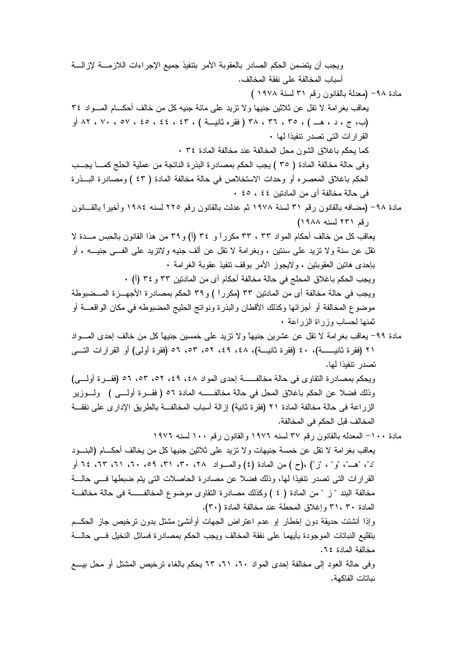ويجب أن يتضمن الحكم الصادر بالعقوبة الأمر بتنفيذ جميع الإجر اءات اللاز مسة لإز السة أسباب المخالفة على نفقة المخالف. مادة ٩٨- (معدلة بالقانون رقع ٣١ لسنة ١٩٧٨ ) يعاقب بغر امة لا نقل عن ثلاثين جنيها و لا نزيد على مائة جنيه كل من خالف أحكـــام المـــواد ٣٤ (ب، ج ، د ، هـــ ) ، ٣٥ ، ٣٦ ، ٣٨ ( فقره ثانيــــة ) ، ٤٤ ، ٤٤ ، ٥٥ ، ٧٠ ، ٧٠ ، ٨٢ أو القرارات التي تصدر نتفيذا لها ٠ كما يحكم باغلاق الشون محل المخالفة عند مخالفة المادة ٣٤ . وفي حالة مخالفة المادة ( ٣٥ ) يجب الحكم بمصادرة البذرة الناتجة من عملية الحلج كمـــا يجـــب الحكم باغلاق المعصره أو وحدات الاستخلاص في حالة مخالفة المادة ( ٤٣ ) ومصادرة البـــذرة في حالة مخالفة أي من المادنين ٤٤ ، ٤٥ . مادة ٩٨– (مضافه بالقانون رقم ٣١ لسنة ١٩٧٨ ثم عدلت بالقانون رقم ٢٢٥ لسنه ١٩٨٤ وأخيراً بالقـــانون رقم ۲۳۱ لسنه ۱۹۸۸) يعاقب كل من خالف أحكام المواد ٣٣ ، ٣٣ مكرراً و ٣٤ (أ) و ٣٩ من هذا القانون بالحبس مـــدة لا نقل عن سنة ولا نزيد على سنتين ، وبغرامة لا نقل عن ألف جنيه ولانزيد على الفـــي جنيــــه ، أو بإحدى هاتين العقوبتين ، ولايجوز الأمر بوقف تتفيذ عقوبة الغرامة • ويجب الحكم باغلاق المحلج في حالة مخالفة أحكام أي من المادنين ٣٣ و ٣٤ (أ) ٠ ويجب في حالة مخالفة أي من المادنين ٣٣ (مكرراً ) و ٣٩ الحكم بمصادرة الأجهـــزة المـــضبوطة موضوع المخالفة أو أجزائها وكذلك الأقطان والبذرة ونواتج الحليج المضبوطه في مكان الواقعـــة أو ثمنها لحساب وزراة الزراعة . مادة ٩٩– يعاقب بغرامة لا نقل عن عشرين جنيهاً ولا نزيد على خمسين جنيها كل من خالف إحدى المــــواد ٢١ (فقرة ثانيــــــة)، ٤٠ (فقرة ثانيـــة)، ٤٨، ٤٩، ٥٢، ٥٣، ٥٦ (فقرة أولى) أو القرارات النــــى تصدر تتفيذا لها. ويحكم بمصادرة النقاوي في حالة مخالفــــــة إحدى المواد ٤٨، ٤٩، ٥٢، ٥٣، ٥٦ (فقـــرة أولــــي) وذلك فضلًا عن الحكم باغلاق المحل في حالة مخالفــــــــــه المادة ٥٦ ( فقــــرة أولـــــي ) ولــــوزير الزراعة في حالة مخالفة المادة ٢١ (فقرة ثانية) إزالة أسباب المخالفـــة بالطريق الإدار ي على نفقـــة المخالف قبل الحكم في المخالفة. مادة ١٠٠- المعدله بالقانون رقم ٣٧ لسنه ١٩٧٦ والقانون رقم ١٠٠ لسنه ١٩٧٦ يعاقب بغرامة لا نقل عن خمسة جنيهات ولا نزيد على ثلاثين جنيها كل من يخالف أحكـــام (البنـــود "د"، "هـــ"، "و" ، "ز") ،(ح ) من المعادة (٤) والمــــواد ٢٨، ٣٠، ٣١، ٥٩، ٣٠، ٢١، ٢٢، ٢٤ أو القرارات التي تصدر نتفيذا لها، وذلك فضلا عن مصادرة الحاصلات التي يتم ضبطها فــي حالـــة مخالفة البند " ز " من المادة ( ٤ ) وكذلك مصادرة النقاوى موضوع المخالفــــة في حالة مخالفــة المادة ٣٠ ،٣١ وإغلاق المحطة عند مخالفة المادة (٣٠). وإذا أنشئت حديقة دون إخطار إو عدم اعتراض الجهات أوأنشئ مشتل بدون ترخيص جاز الحكــم بتقليع النباتات الموجودة بأبهما على نفقة المخالف ويجب الحكم بمصادرة فسائل النخيل فسي حالسة مخالفة المادة ٢٤. وفي حالة العود إلى مخالفة إحدى المواد ٢٠، ٦١، ٦٣ بِحكم بالغاء نرخيص المشتل أو محل بيــــع نباتات الفاكهة.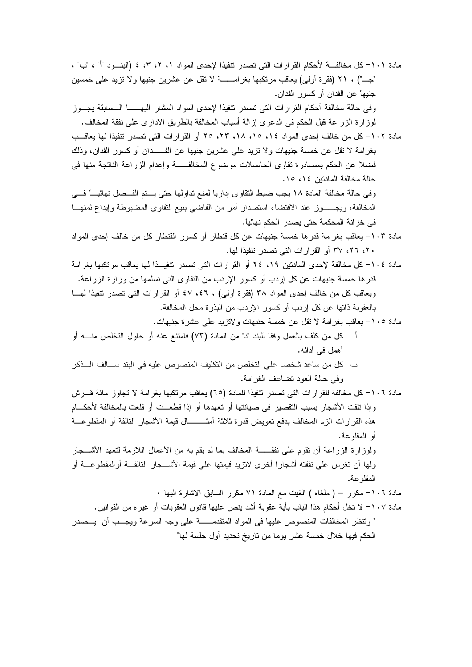| مادة ١٠١- كل مخالفــــة لأحكام القرارات التي تصدر تنفيذا لإحدى المواد ١، ٢، ٣، ٤ (البنـــود "أ" ، "ب" ، |
|---------------------------------------------------------------------------------------------------------|
| "جـــ") ، ٢١ (فقرة أولـى) يعاقب مرتكبها بغرامــــــــة لا نقل عن عشرين جنيها ولا نزيد علـى خمسين        |
| جنيهاً عن الفدان أو كسور الفدان.                                                                        |
| وفى حالة مخالفة أحكام القرارات التى تصدر نتفيذا لإحدى المواد المشار اليهــــــا الـــسابقة يجـــوز      |
| لموزارة الزراعة قبل الحكم في الدعوى إزالة أسباب المخالفة بالطريق الادارى على نفقة المخالف.              |
| مادة ١٠٢– كل من خالف إحدى المواد ١٤، ١٥، ١٨، ٢٣، ٢٥ أو القرارات التي تصدر نتفيذا لها يعاقــب            |
| بغرامة لا نقل عن خمسة جنيهات ولا نزيد على عشرين جنيها عن الفـــــدان أو كسور الفدان، وذلك               |
| فضلا عن الحكم بمصادرة نقاوى الحاصلات موضوع المخالفـــــة وإعدام الزراعة الناتجة منها فمي                |
| حالة مخالفة المادنين ١٤، ١٥.                                                                            |
| وفي حالة مخالفة المادة ١٨ يجب ضبط النقاوي إداريا لمنع نداولها حتى يـــتم الفـــصل نـهائيــــا فــــي    |
| المخالفة، ويجــــــوز عند الاقتضاء استصدار أمر من القاضي ببيع النقاوى المضبوطة وإيداع ثمنهــــا         |
| في خزانة المحكمة حتى يصدر الحكم نهائياً.                                                                |
| مادة ١٠٣- يعاقب بغرامة قدرها خمسة جنيهات عن كل قنطار أو كسور القنطار كل من خالف إحدى المواد             |
| ۲۰، ۲۲، ۳۷ أو القرارات التي تصدر نتفيذا لمها.                                                           |
| مادة ١٠٤– كل مخالفة لإحدى المادتين ١٩، ٢٤ أو القرارات التي تصدر نتفيــذا لها يعاقب مرتكبها بغرامة       |
| قدرها خمسة جنيهات عن كل إردب أو كسور الإردب من النقاوى التي تسلمها من وزارة الزراعة.                    |
| ويعاقب كلٌّ من خالف إحدى المواد ٣٨ (فقرة أولى) ، ٤٦، ٤٧ أو القرارات التي تصدر تنفيذًا لهـــا            |
| بالعقوبة ذاتها عن كل إردب أو كسور الإردب من البذرة محل المخالفة.                                        |
| مادة ١٠٥- يعاقب بغرامة لا نقل عن خمسة جنيهات ولاتزيد على عشرة جنيهات.                                   |
| كل من كلف بالعمل وفقا للبند "د" من المادة (٧٣) فامنتع عنه أو حاول النخلص منــــه أو                     |
| أهمل في أدائه.                                                                                          |
| ب كل من ساعد شخصا على التخلص من التكليف المنصوص عليه في البند ســـالف الــــذكر                         |
| وفي حالة العود نضاعف الغرامة.                                                                           |
| مادة ١٠٦– كل مخالفة للقرارات التي تصدر تتفيذا للمادة (٦٥) يعاقب مرتكبها بغرامة لا تجاوز مائة قــــرش    |
| وإذا تلفت الأشجار بسبب التقصير في صيانتها أو تعهدها أو إذا قطعــت أو قلعت بالمخالفة لأحكـــام           |
| هذه القرارات الزم المخالف بدفع تعويض قدرة ثلاثة أمثـــــــــال قيمة الأشجار التالفة أو المقطوعـــة      |
| أو المقلو عة.                                                                                           |
| ولوزارة الزراعة أن نقوم على نفقــــــة المخالف بما لم يقم به من الأعمال اللازمة لنعهد الأشــــجار       |
| ولَّها أن تغرس على نفقته أشجارًا أخرى لاتزيد قيمتها على قيمة الأشـــــجار التالفـــة أوالمقطوعـــة أو   |
| المقلو عة.                                                                                              |
| مادة ١٠٦– مكرر – ( ملغاه ) الغيت مع المادة ٧١ مكرر السابق الاشارة اليها .                               |
| مادة ١٠٧– لا نخل أحكام هذا الباب بأية عقوبة أشد ينص عليها قانون العقوبات أو غيره من القوانين.           |
| " ونتظر المخالفات المنصوص عليها في المواد المتقدمـــــــة على وجه السرعة ويجـــب أن  يـــصدر            |
|                                                                                                         |
| الحكم فيها خلال خمسة عشر يوما من ناريخ نحديد أول جلسة لها"                                              |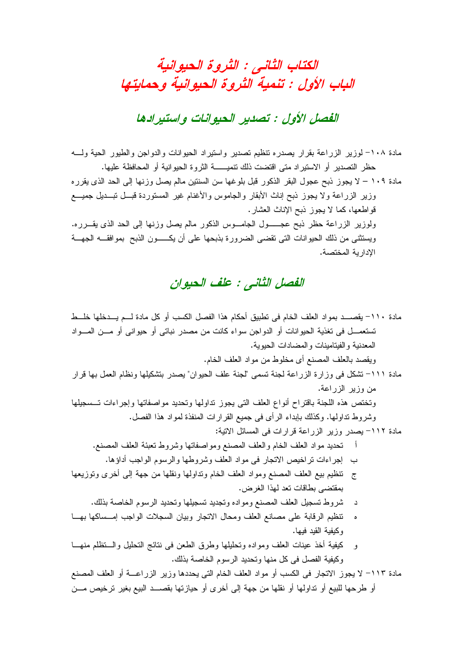## الكتاب الثاني : الثروة الحيوانية الباب الأول : تنمية الثروة الحيوانية وحمايتها

#### الفصل الأول : تصدير الحيوانات واستبرادها

مادة ١٠٨- لوزير الزراعة بقرار يصدره نتظيم تصدير واستيراد الحيوانات والدواجن والطيور الحية ولسه حظر التصدير أو الاستيراد متى اقتضت ذلك نتميـــــــة الثروة الحيوانية أو المحافظة عليها.

مادة ١٠٩ – لا يجوز ذبح عجول البقر الذكور قبل بلوغها سن السنتين مالم يصل وزنها إلى الحد الذي يقرره وزير الزراعة ولا يجوز ذبح إناث الأبقار والجاموس والأغنام غير المستوردة قبسل تبسديل جميسع قواطعها، كما لا يجوز ذبح الإناث العشار . ولوزير الزراعة حظر ذبح عجـــــول الجامـــوس الذكور مالم بصل وزنها إلى الحد الذي يقـــرره.

ويستثنى من ذلك الحيوانات الني نقضي الضرورة بذبحها على أن يكـــــون الذبح بموافقـــه الجهــــة الادار بة المختصة.

#### الفصل الثاني : علف الحبوان

مادة ١١٠– يقصـــد بمواد العلف الخام في تطبيق أحكام هذا الفصل الكسب أو كل مادة لـــم يـــدخلها خلـــط تستعمــــل في تغذية الحيوانات أو الدواجن سواء كانت من مصدر نباتــي أو حيوانــي أو مــــن المــــواد المعدنية والفيتامينات والمضادات الحيوية. ويقصد بالعلف المصنع أي مخلوط من مو اد العلف الخام. مادة ١١١– تشكل في وزارة الزراعة لجنة تسمى "لجنة علف الحيوان" يصدر بتشكيلها ونظام العمل بها قرار من وزير الزراعة. وتختص هذه اللجنة باقتراح أنواع العلف التي يجوز نداولها وتحديد مواصفاتها وإجراءات تسسجيلها وشروط نداولها. وكذلك بابداء الرأى في جميع القرارات المنفذة لمواد هذا الفصل. مادة ١١٢– يصدر وزير الزراعة قرارات في المسائل الاتية: أ تحديد مواد العلف الخام والعلف المصنع ومواصفاتها وشروط نعبئة العلف المصنع. ب إجراءات تراخيص الاتجار في مواد العلف وشروطها والرسوم الواجب أداؤها. ج تنظيم بيع العلف المصنع ومواد العلف الخام ونداولها ونقلها من جهة إلى أخرى وتوزيعها بمقتضبي بطاقات تعد لهذا الغرض. د شروط تسجيل العلف المصنع ومواده وتجديد تسجيلها وتحديد الرسوم الخاصة بذلك. ه تنظيم الرقابة على مصانع العلف ومحال الانجار وبيان السجلات الواجب إمــساكها بهــا وكبفبة القبد فبها. و كيفية أخذ عينات العلف ومواده وتحليلها وطرق الطعن في نتائج التحليل والـــتظلم منهـــا وكيفية الفصل في كل منها وتحديد الرسوم الخاصة بذلك. مادة ١١٣– لا يجوز الاتجار في الكسب أو مواد العلف الخام التي يحددها وزير الزراعــــة أو العلف المصنع أو طرحها للبيع أو تداولها أو نقلها من جهة إلى أخرى أو حيازتها بقصـــد البيع بغير ترخيص مـــن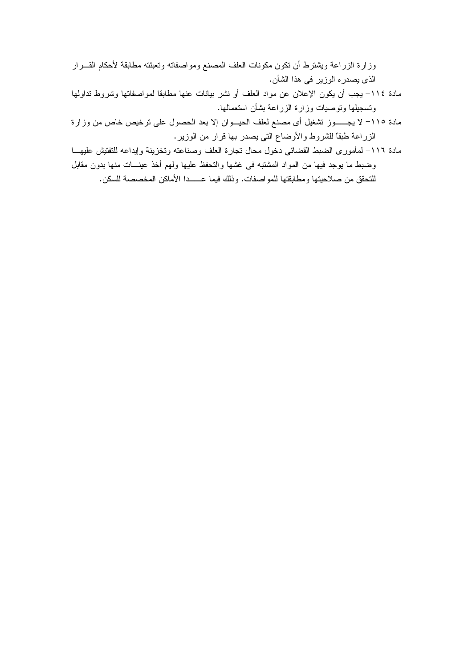وزارة الزراعة ويشترط أن نكون مكونات العلف المصنع ومواصفاته وتعبئته مطابقة لأحكام القـــرار الذي يصدره الوزير في هذا الشأن.

- مادة ١١٤– يجب أن يكون الإعلان عن مواد العلف أو نشر بيانات عنها مطابقا لمواصفاتها وشروط نداولها وتسجيلها ونوصيات وزارة الزراعة بشأن استعمالها.
- مادة ١١٥- لا يجـــــوز نشغيل أي مصنع لعلف الحيـــوان إلا بعد الحصول على نرخيص خاص من وزارة الزراعة طبقًا للشروط والأوضاع التي يصدر بها قرار من الوزير.
- مادة ١١٦– لمأموري الضبط القضائي دخول محال تجارة العلف وصناعته وتخزينة وإيداعه للتفتيش عليهــا وضبط ما يوجد فيها من المواد المشتبه في غشها والتحفظ عليها ولهم أخذ عينـــات منها بدون مقابل للتحقق من صلاحيتها ومطابقتها للمواصفات. وذلك فيما عـــــدا الأماكن المخصصة للسكن.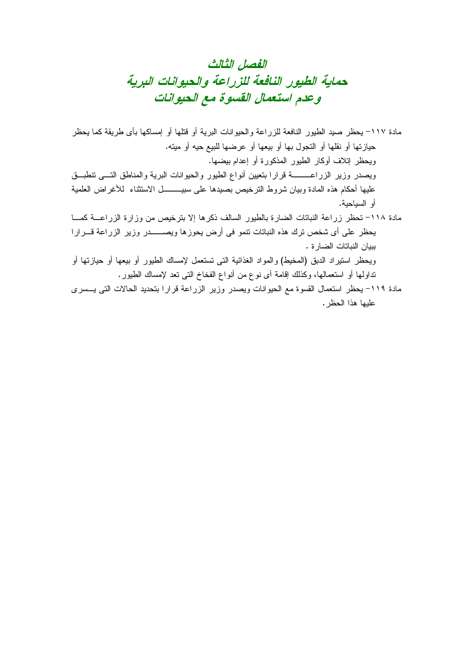### الفصل الثالث حماية الطيور النافعة للزراعة والحيوانات البرية وعدم استعمال القسوة مع الحيوانات

مادة ١١٧– يحظر صيد الطيور النافعة للزراعة والحيوانات البرية أو قتلها أو إمساكها بأى طريقة كما يحظر حيازتها أو نقلها أو النجول بها أو بيعها أو عرضها للبيع حيه أو مينه. ويحظر إتلاف أوكار الطيور المذكورة أو إعدام بيضها. عليها أحكام هذه المادة وببان شروط النرخيص بصبدها علىى سبيــــــــــل الاستثناء للأغراض العلمية أو السياحية. مادة ١١٨– تحظر زراعة النباتات الضارة بالطيور السالف ذكرها إلا بترخيص من وزارة الزراعـــة كمـــا 

ببيان النباتات الضار ة . ويحظر استيراد الدبق (المخيط) والمواد الغذائية التي تستعمل لإمساك الطيور أو بيعها أو حيازتها أو نداولها أو استعمالها، وكذلك إقامة أي نوع من أنواع الفخاخ التي نعد لإمساك الطيور .

مادة ١١٩– يحظر استعمال القسوة مع الحيوانات ويصدر وزير الزراعة قرارا بتحديد الحالات التي يـــسرى عليها هذا الحظر .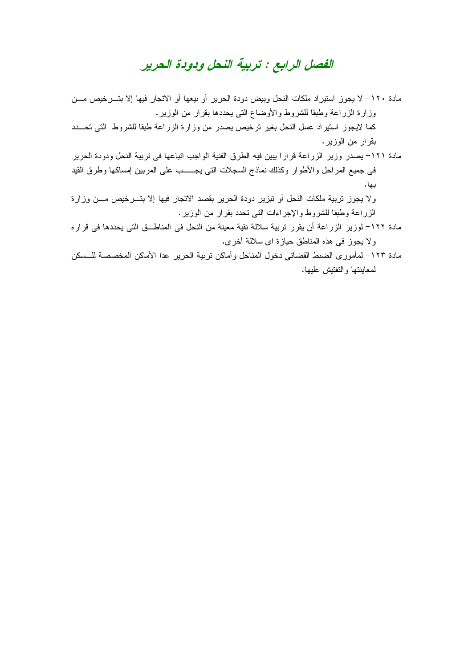#### الفصل الرابع : تربية النحل ودودة الحرير

مادة ١٢٠– لا يجوز استيراد ملكات النحل وبيض دودة الحرير أو بيعها أو الاتجار فيها إلا بتـــرخيص مـــن وزارة الزراعة وطبقا للشروط والأوضاع التي يحددها بقرار من الوزير . كما لايجوز استيراد عسل النحل بغير ترخيص يصدر من وزارة الزراعة طبقا للشروط التي تحـــدد بقرار من الوزير .

مادة ١٢١– يصدر وزير الزراعة قرارا ببين فيه الطرق الفنية الواجب اتباعها في تربية النحل ودودة الحرير في جميع المراحل والأطوار وكذلك نماذج السجلات التي يجـــــب على المربين إمساكها وطرق القيد ىيا.

ولا يجوز تربية ملكات النحل أو تبزير دودة الحرير بقصد الاتجار فيها إلا بتـــرخيص مـــن وزارة الزراعة وطبقا للشروط والإجراءات التي تحدد بقرار من الوزير.

- مادة ١٢٢– لوزير الزراعة أن يقرر تربية سلالة نقية معينة من النحل في المناطــق التي يحددها في قرار ه و لا يجوز في هذه المناطق حيازة اي سلالة أخرى.
- مادة ١٢٣– لمأمور ي الضبط القضائي دخول المناحل و أماكن تر بية الحر بر عدا الأماكن المخصصة للـــسكن لمعاينتها والتفتيش عليها.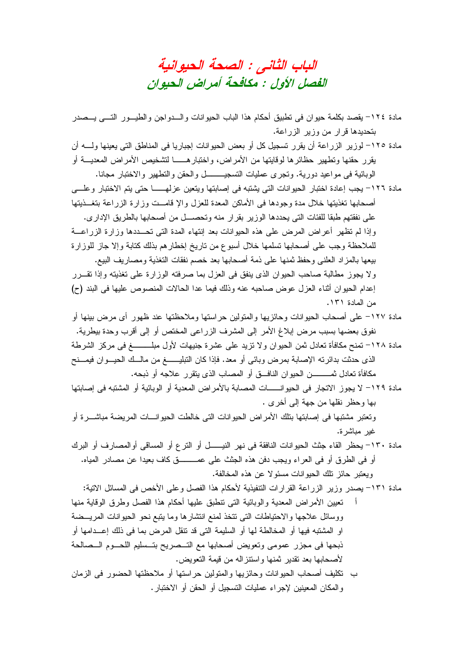الباب الثاني : الصحة الحيوانية الفصل الأول : مكافحة أمراض الحيوان

- مادة ١٢٤- يقصد بكلمة حيوان في نطبيق أحكام هذا الباب الحيوانات والـــدواجن والطيـــور التــــي يـــصدر بتحديدها قرار من وزير الزراعة.
- مادة ١٢٥– لوزير الزراعة أن يقرر تسجيل كل أو بعض الحيوانات إجباريا في المناطق التي يعينها ولــــه أن بقرر حقنها ونطهير حظائرها لوقايتها من الأمراض، واختبارهــــــا لتشخيص الأمراض المعديــــة أو الوبائية في مواعيد دورية. وتجرى عمليات التسجيــــــــــل والحقن والتطهير والاختبار مجانا.
- مادة ١٢٦- يجب إعادة اختبار الحيوانات التي يشتبه في إصابتها ويتعين عزلهـــــا حتى يتم الاختبار وعلـــي أصحابها نغذيتها خلال مدة وجودها في الأماكن المعدة للعزل والإ فامـــت وزارة الزراعة بتغـــذيتها على نفقتهم طبقا للفئات التي يحددها الوزير بقرار منه وتحصـــل من أصـحابها بالطريق الإداري. وإذا لم تظهر أعراض المرض على هذه الحيوانات بعد إنتهاء المدة التي تحـــددها وزارة الزراعــــة للملاحظة وجب على أصحابها نسلمها خلال أسبوع من ناريخ إخطارهم بذلك كنابة وإلا جاز للوزارة بيعها بالمزاد العلني وحفظ ثمنها على ذمة أصحابها بعد خصم نفقات النغذية ومصاريف البيع. ولا يجوز مطالبة صاحب الحيوان الذي ينفق في العزل بما صرفته الوزارة على تغذيته وإذا نقـــرر إعدام الحيوان أثناء العزل عوض صاحبه عنه وذلك فيما عدا الحالات المنصوص عليها في البند (ح) من المادة ١٣١.
- مادة ١٢٧– على أصحاب الحيوانات وحائزيها والمتولين حراستها وملاحظتها عند ظهور أى مرض بينها أو نفوق بعضها بسبب مرض إبلاغ الأمر إلى المشرف الزراعي المختص أو إلى أقرب وحدة بيطرية. مادة ١٢٨– تمنح مكافأة تعادل ثمن الحيوان ولا نزيد على عشرة جنيهات لأول مبلـــــــــغ في مركز الشرطة الذي حدثت بدائرته الإصابة بمرض وبائي أو معد. فإذا كان التبليـــــــغ من مالـــك الحيـــوان فيمـــنح مكافأة تعادل ثمـــــــــــــن الحيوان النـافــــق أو المصــاب الذي ينقرر علاجه أو ذبحه.
- مادة ١٢٩– لا يجوز الاتجار في الحيوانــــــات المصابة بالأمراض المعدية أو الوبائية أو المشتبه في إصابتها بها وحظر نقلها من جهة إلى أخر ي .

وتعتبر مشتبها في إصابتها بتلك الأمراض الحيوانات التي خالطت الحيوانـــات المريضة مباشــــرة أو غير مباشرة.

مادة ٦٣٠– يحظر القاء جثث الحيوانات النافقة في نهر النيـــــل أو النرع أو المساقي أوالمصـارف أو البرك أو في الطرق أو في العراء ويجب دفن هذه الجثث على عمـــــــــق كاف بعيدا عن مصـادر المياه. ويعتبر حائز نلك الحيوانات مسئولا عن هذه المخالفة.

مادة ١٣١- يصدر وزير الزراعة القرارات التنفيذية لأحكام هذا الفصل وعلى الأخص في المسائل الاتية:

- تعيين الأمراض المعدية والوبائية التي نتطبق عليها أحكام هذا الفصل وطرق الوقاية منها ووسائل علاجها والاحتياطات التي تتخذ لمنع انتشارها وما يتبع نحو الحيوانات المريسضة او المشتبه فيها أو المخالطة لها أو السليمة التي قد نتقل المرض بما في ذلك إعــدامها أو ذبحها في مجزر عمومي ونعويض أصحابها مع التــصريح بتــسليم اللحـــوم الـــصالحة لأصحابها بعد تقدير ثمنها واستتز اله من قيمة التعويض.
- ب تكليف أصحاب الحيوانات وحائزيها والمتولين حراستها أو ملاحظتها الحضور في الزمان و المكان المعينين لإجراء عمليات التسجيل أو الحقن أو الاختبار .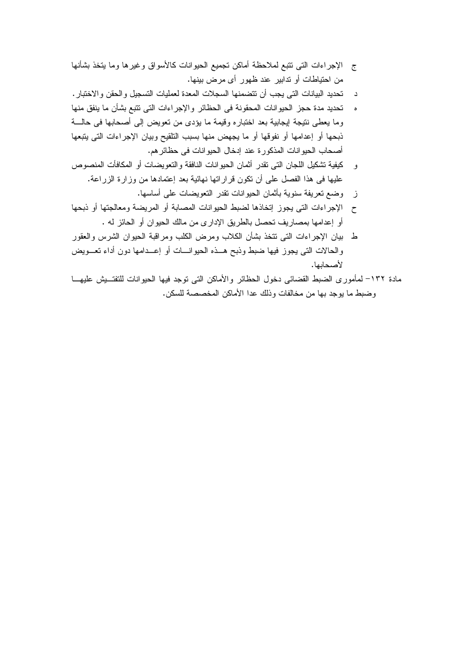- ج الإجراءات التي نتبع لملاحظة أماكن نجميع الحيوانات كالأسواق وغيرها وما يتخذ بشأنها من احتياطات أو ندابير عند ظهور أي مرض بينها.
- د تحديد البيانات التي يجب أن تتضمنها السجلات المعدة لعمليات التسجيل والحقن والاختبار .
- ه تحديد مدة حجز الحيو انات المحقونة في الحظائر و الإجر اءات التي تتبع بشأن ما ينفق منها [ وما يعطي نتيجة لِيجابية بعد اختباره وقيمة ما يؤدي من نعويض إلى أصحابها في حالــــة ذبحها أو إعدامها أو نفوقها أو ما يجهض منها بسبب التلقيح وبيان الإجراءات التي يتبعها أصحاب الحيوانات المذكورة عند إدخال الحيوانات في حظائر هم.
- و كيفية تشكيل اللجان التي نقدر أثمان الحيوانات النافقة والنعويضات أو المكافأت المنصوص عليها في هذا الفصل على أن تكون قرار اتها نهائية بعد إعتمادها من وزارة الزراعة.
	- ز وضع نعريفة سنوية بأثمان الحيوانات تقدر النعويضات على أساسها.
- أو إعدامها بمصاريف تحصل بالطريق الإداري من مالك الحيوان أو الحائز له .
- ط بيان الإجراءات التي نتخذ بشأن الكلاب ومرض الكلب ومراقبة الحيوان الشرس والعقور والحالات التي يجوز فيها ضبط وذبح هــذه الحيوانـــات أو إعـــدامها دون أداء تعـــويض لأصحابها.
- مادة ١٣٢– لمأموري الضبط القضائي دخول الحظائر والأماكن التي نوجد فيها الحيوانات للتفتــبش عليهـــا وضبط ما يوجد بها من مخالفات وذلك عدا الأماكن المخصصة للسكن.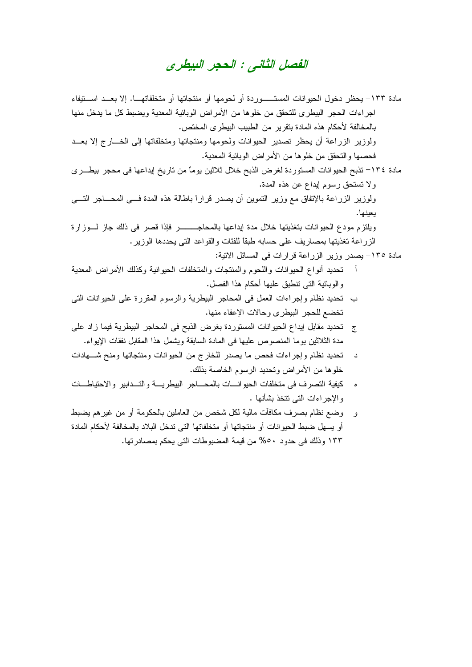#### الفصل الثاني : الحجر البيطري

- مادة ١٣٣– يحظر دخول الحيوانات المستـــــوردة أو لحومها أو منتجاتها أو متخلفاتهـــا. إلا بعـــد اســـتيفاء اجر اءات الحجر البيطر ي للتحقق من خلو ها من الأمر اض الوبائية المعدية ويضبط كل ما يدخل منها بالمخالفة لأحكام هذه المادة بنقرير من الطبيب البيطري المختص. ولوزير الزراعة أن يحظر تصدير الحيوانات ولحومها ومنتجاتها ومتخلفاتها إلى الخسارج إلا بعــد فحصبها والتحقق من خلوها من الأمراض الوبائية المعدية. مادة ١٣٤– نذبح الحيو انات المستوردة لغرض الذبح خلال ثلاثين يوماً من تاريخ إيداعها في محجر بيطــري ولا تستحق رسوم إيداع عن هذه المدة. ولوزير الزراعة بالإتفاق مع وزير التموين أن يصدر قراراً باطالة هذه المدة فسي المحساجر التسي يعينها. الزر اعة تغذيتها بمصاريف على حسابه طبقًا للفئات و القو اعد التي يحددها الوزير . مادة ١٣٥- بصدر وزير الزراعة قرارات في المسائل الاتبة: تحديد أنواع الحيوانات واللحوم والمنتجات والمتخلفات الحيوانية وكذلك الأمراض المعدية و الوبائية التي نتطبق عليها أحكام هذا الفصل. ب تحديد نظام وإجراءات العمل في المحاجر البيطرية والرسوم المقررة على الحيوانات التي تخضع للحجر البيطري وحالات الإعفاء منها. ج تحديد مقابل إيداع الحيو انات المستوردة بغرض الذبح في المحاجر البيطرية فيما زاد على مدة الثلاثين بوما المنصوص عليها في المادة السابقة ويشمل هذا المقابل نفقات الإيواء. تحديد نظام وإجراءات فحص ما يصدر للخارج من الحيوانات ومنتجاتها ومنح شسهادات د خلو ها من الأمر اض وتحديد الر سو م الخاصبة بذلك. ه كيفية التصرف في متخلفات الحيوانـــات بالمحــــاجر البيطريــــة والتـــدابير والاحتياطــــات والإحراءات التي تتخذ يشأنها .
- و \_ وضع نظام بصرف مكافأت مالية لكل شخص من العاملين بالحكومة أو من غيرهم يضبط أو يسهل ضبط الحيو انات أو منتجاتها أو متخلفاتها التي ندخل البلاد بالمخالفة لأحكام المادة ١٣٣ وذلك في حدود ٥٠% من قيمة المضبوطات التي بحكم بمصادر تها.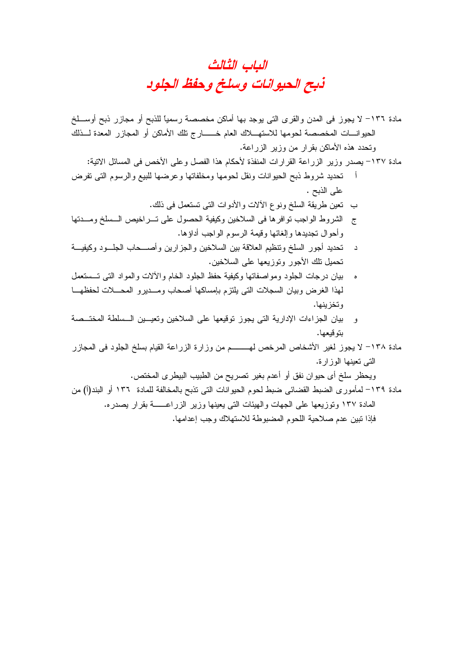الباب الثالث ذبح الحيوانات وسلخ وحفظ الجلود

- مادة ١٣٦– لا يجوز في المدن والقرى التي يوجد بها أماكن مخصصة رسمياً للذبح أو مجازر ذبح أوســـلخ الحيوانـــات المخصصة لحومها للاستهــــلاك العام خــــــــارج نلك الأماكن أو المجازر المعدة لـــذلك وتحدد هذه الأماكن بقرار من وزير الزراعة.
	- مادة ١٣٧– يصدر وزير الزراعة القرارات المنفذة لأحكام هذا الفصل وعلى الأخص في المسائل الاتية:
- أ تحديد شروط ذبح الحيوانات ونقل لحومها ومخلفاتها وعرضها للبيع والرسوم التي تفرض على الذبح .
	- ب نعين طريقة السلخ ونوع الألات والأدوات التبي نستعمل في ذلك.
- ج الشروط الواجب نوافرها في السلاخين وكيفية الحصول على تــــراخيص الــــسلخ ومــــدتها وأحوال تجديدها وإلغائها وقيمة الرسوم الواجب أداؤها.
- د تحديد أجور السلخ وتنظيم العلاقة بين السلاخين والجزارين وأصـــحاب الجلـــود وكيفيـــة تحميل نلك الأجور ونوزيعها على السلاخين.
- ه بيان درجات الجلود ومواصفاتها وكيفية حفظ الجلود الخام والألات والمواد التبي تـــستعمل لمهذا الغرض وبيان السجلات التي يلتزم بإمساكها أصحاب ومسديرو المحسلات لحفظهسا وتخزينها.
- و بيان الجزاءات الإدارية التي يجوز توقيعها على السلاخين وتعيـــين الـــسلطة المختــصة بتوقيعها.
- مادة ١٣٨– لا يجوز لغير الأشخاص المرخص لهـــــــــم من وزارة الزراعة القيام بسلخ الجلود في المجازر التے تعبنها الوز ار ة.

ويحظر سلخ أي حيوان نفق أو أعدم بغير نصريح من الطبيب البيطري المختص.

مادة ١٣٩– لمأمور ي الضبط القضائي ضبط لحوم الحيوانات التي نذبح بالمخالفة للمادة ١٣٦ أو البند(أ) من المادة ١٣٧ وتوزيعها على الجهات والهيئات التي يعينها وزير الزراعـــــة بقرار يصدره. فإذا نبين عدم صلاحية اللحوم المضبوطة للاستهلاك وجب إعدامها.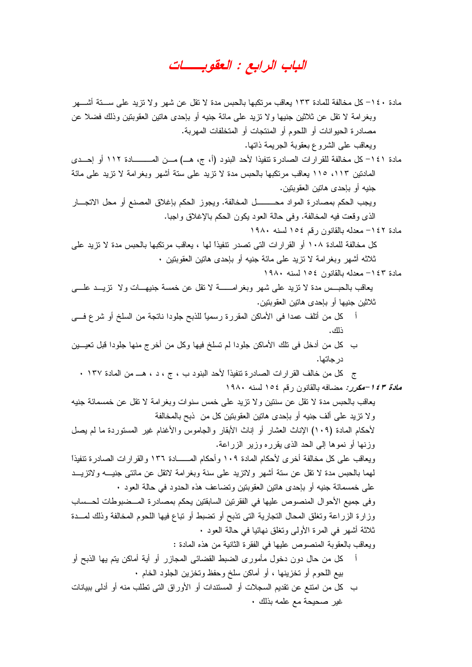الباب الرابع : العقوبــــات

مادة ١٤٠– كل مخالفة للمادة ١٣٣ يعاقب مرتكبها بالحبس مدة لا تقل عن شهر ولا تزيد على ســــتة أشــــهر وبغرامة لا نقل عن ثلاثين جنيها ولا نزيد على مائة جنيه أو بإحدى هاتين العقوبتين وذلك فضلا عن مصادر ة الحيو انات أو اللحوم أو المنتجات أو المتخلفات المهربة. ويعاقب على الشروع بعقوبة الجريمة ذاتها. مادة ١٤١– كل مخالفة للقرارات الصادرة تتفيذا لأحد البنود (أ، ج، هــ) مـــن المـــــــــادة ١١٢ أو إحـــدى المعادتين ١١٣، ١١٥ يعاقب مرتكبها بالحبس مدة لا نزيد على ستة أشهر وبغرامة لا نزيد على مائة جنيه أو بإحدى هاتين العقوبنين. ويجب الحكم بمصادرة المواد محــــــــــل المخالفة. ويجوز الحكم بإغلاق المصنع أو محل الانجــــار الذي وقعت فيه المخالفة. وفي حالة العود يكون الحكم بالإغلاق واجبا. مادة ١٤٢– معدله بالقانون رقم ١٥٤ لسنه ١٩٨٠ كل مخالفة للمادة ١٠٨ أو القرارات التي تصدر نتفيذا لها ، يعاقب مرتكبها بالحبس مدة لا تزيد على ثلاثه أشهر وبغرامة لا نزيد على مائة جنيه أو بإحدى هاتين العقوبنين . مادة ١٤٣- معدله بالقانون ١٥٤ لسنه ١٩٨٠ يعاقب بالحبـــس مدة لا نزيد علـي شـهر وبغرامـــــــــة لا نقل عن خمسة جنيهــــات ولا نزيــــد علـــــي ثلاثين جنيها أو بإحدى هاتين العقوبتين. أ كل من أنلف عمدا في الأماكن المقررة رسميًا للذبح جلودا ناتجة من السلخ أو شرع فـــي ذلك. ب كل من أدخل في تلك الأماكن جلودا لم تسلخ فيها وكل من أخرج منها جلودا قبل تعيـــين در جاتها. ج كل من خالف القرارات الصادرة نتفيذا لأحد البنود ب ، ج ، د ، هـــ من المادة ١٣٧ . *مادة ١٤٣-مكرر:* مضافه بالقانون رقم ١٥٤ لسنه ١٩٨٠ يعاقب بالحبس مدة لا نقل عن سنتين ولا نزيد على خمس سنوات وبغرامة لا نقل عن خمسمائة جنيه ولا نزيد على ألف جنيه أو بإحدى هاتين العقوبتين كل من ذبح بالمخالفة لأحكام المادة (١٠٩) الإناث العشار أو إناث الأبقار والجاموس والأغنام غير المستوردة ما لم يصل وزنها أو نموها إلىي الحد الذي يقرره وزير الزراعة. ويعاقب على كل مخالفة أخرى لأحكام المادة ١٠٩ وأحكام المــــــادة ١٣٦ والقرارات الصـادرة تتفيذا لمهما بالحبس مدة لا نقل عن سنة أشهر ولانزيد على سنة وبغرامة لانقل عن مائتي جنيـــه ولانزيـــد على خمسمائة جنيه أو بإحدى هاتين العقوبتين وتضاعف هذه الحدود في حالة العود • وفي جميع الأحوال المنصوص عليها في الفقرنين السابقتين يحكم بمصادرة المــضبوطات لحــساب وزارة الزراعة ونغلق المحال النجارية الني نذبح أو نضبط أو نباع فيها اللحوم المخالفة وذلك لمسدة ثلاثة أشهر في المرة الأولىي ونغلق نهائيا في حالة العود • ويعاقب بالعقوبة المنصوص عليها في الفقرة الثانية من هذه المادة : أ كل من حال دون دخول مأموري الضبط القضائي المجازر أو أية أماكن بنم بها الذبح أو بيع اللحوم أو تخزينها ، أو أماكن سلخ وحفظ وتخزين الجلود الخام . ب كل من امنتع عن تقديم السجلات أو المستندات أو الأوراق التي نطلب منه أو أدلمي ببيانات غير صحيحة مع علمه بذلك ٠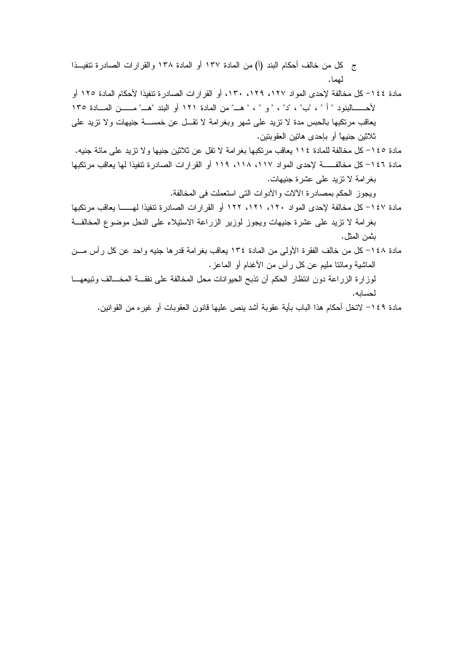ج كل من خالف أحكام البند (أ) من المادة ١٣٧ أو المادة ١٣٨ والقرارات الصادرة تتفيــذا لمهما.

- مادة ١٤٤– كل مخالفة لإحدى المواد ١٢٧، ١٢٩، ١٣٠، أو القرارات الصادر ة تتفيذا لأحكام المادة ١٢٥ أو لأحـــــالبنود " أ " ، "ب" ، "د" ، " و " ، " هـــ" من المادة ١٢١ أو البند "هـــ" مــــــن المـــادة ١٣٥ يعاقب مرتكبها بالحبس مدة لا نزيد على شهر وبغرامة لا نقـــل عن خمســـة جنيهات ولا نزيد علـي ثلاثين جنيهاً أو بإحدى هاتين العقوبتين.
- مادة ١٤٥– كل مخالفة للمادة ١١٤ يعاقب مرتكبها بغرامة لا تقل عن ثلاثين جنيها ولا تزيد على مائة جنيه. مادة ١٤٦– كل مخالفــــــــــة لإحدى المواد ١١٧، ١١٨، ١١٩ أو القرارات الصادرة تتفيذا لمها يعاقب مرتكبها بغرامة لا نزيد على عشرة جنيهات.

ويجوز الحكم بمصادرة الألات والأدوات التي استعملت في المخالفة.

- مادة ١٤٧– كل مخالفة لإحدى المواد ١٢٠، ١٢١، ١٢٢ أو القرارات الصادرة تتفيذا لهــــــا يعاقب مرتكبها بغرامة لا نزيد على عشرة جنيهات ويجوز لوزير الزراعة الاستيلاء على النحل موضوع المخالفة بثمن المثل.
- مادة ١٤٨– كل من خالف الفقر ة الأولى من المادة ١٣٤ بعاقب بغر امة قدر ها جنيه و احد عن كل ر أس مـــن الماشية ومائنا مليم عن كل ر أس من الأغنام أو الماعز .
- لوزارة الزراعة دون انتظار الحكم أن تذبح الحيوانات محل المخالفة على نفقـــة المخـــالف وتبيعهـــا لحسائه.
	- مادة ١٤٩– لاتخل أحكام هذا الباب بأية عقوبة أشد ينص عليها قانون العقوبات أو غير ه من القوانين.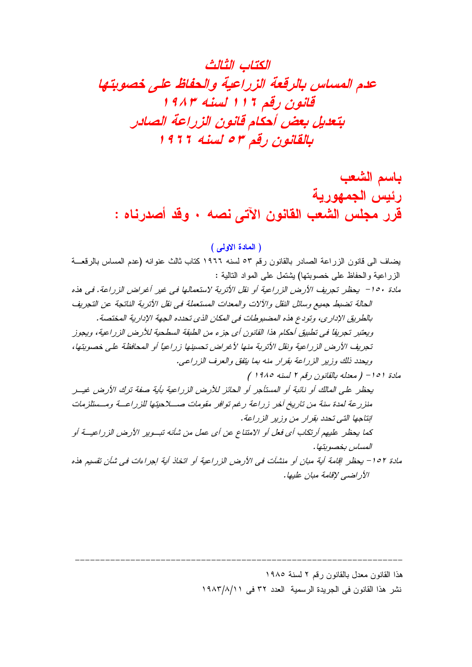باسم الشعب رئيس الجمهورية قرر مجلس الشعب القانون الآتى نصه . وقد أصدرناه :

(المادة الاولى)

يضاف الى قانون الزراعة الصادر بالقانون رقم ٥٣ لسنه ١٩٦٦ كتاب ثالث عنوانه (عدم المساس بالرقعـــة الزراعية والحفاظ على خصوبتها) بِشْتَمَلْ عَلَى الْمَوْ لِهِ التَّالِيةِ : مادة ١٥٠ - يحظر تجريف الأرض الزراعية أو نقل الأتربة لاستعمالها في غير أغراض الزراعة. في هذه الحالة تضبط جميع وسائل النقل والآلات والمعدات المستعملة في نقل الأتربة الناتجة عن التجريف بالطريق الإدار ي، وتودع هذه المضبوطات في المكان الذي تحدده الجهة الإدارية المختصة. ويعتبر تجريفاً في تطبيق أحكام هذا القانون أي جزء من الطبقة السطحية للأرض الزراعية، ويجوز تجريف الأرض الزراعية ونقل الأترية منها لأغراض تحسينها زراعيا أو المحافظة على خصوبتها، وبحدد ذلك وزير الزراعة بقرار منه بما يتفق والعرف الزراعي. مادة ١٥١ - ( معلله بالقانون رقع ٢ لسنه ١٩٨٥ ) بحظر على المالك أو نائبة أو المستأجر أو الحائز للأرض الزراعية بأبة صفة ترك الأرض غيس منز رعة لهدة سنة من تاريخ أخر ٍ زِ راعة رِ غير توافِر ٍ مقومات صـــلاحيتِها للزِ راعــة ومــستلزمات ابتاجها التي تحدد بقرار من وزير الزراعة. كما يحظر عليهم أرتكاب أي فعل أو الامتناع عن أي عمل من شأنه تبوير الأرض الزراعيــة أو المساس بخصوبتها. مادة ١٥٢ - يحظر إقامة أية مبان أو منشآت في الأرض الزراعية أو اتخاذ أية إجراءات في شأن تقسيم هذه الأر اضبي لإقامة مبان عليها.

> هذا القانون معدل بالقانون رقم ٢ لسنة ١٩٨٥ نشر هذا القانون في الجريدة الرسمية العدد ٣٢ في ١٩٨٣/٨/١١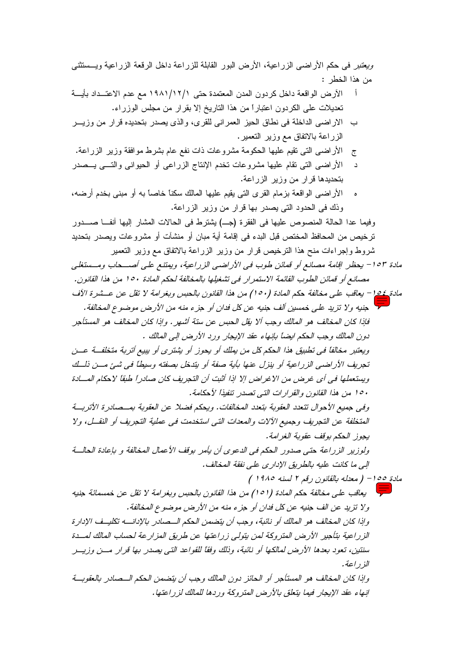وبعتبر في حكم الأراضي الزراعية، الأرض البور القابلة للزراعة داخل الرقعة الزراعية ويستثنى من هذا الخطر :

- الأرض الواقعة داخل كردون المدن المعتمدة حتى ١٩٨١/١٢/١ مع عدم الاعتــداد بأيــــة Ĩ تعديلات على الكردون اعتباراً من هذا التاريخ إلا بقرار من مجلس الوزراء.
- ب الاراضي الداخلة في نطاق الحيز العمراني للقرى، والذي يصدر بتحديده قرار من وزيــر الزراعة بالاتفاق مع وزير التعمير.
- الأراضيي التي نقيم عليها الحكومة مشروعات ذات نفع عام بشرط موافقة وزير الزراعة.  $\tilde{c}$
- الأراضـي التبي نقام عليها مشروعات نخدم الإنتاج الزراعـي أو الحيوانـي والتـــي يـــصدر بتحديدها قرار من وزير الزراعة.
- ه الأراضي الواقعة بزمام القرى التي يقيم عليها المالك سكناً خاصاً به أو مبنى بخدم أرضه، وذك في الحدود التي يصدر بها قرار من وزير الزراعة.

وفيما عدا الحالة المنصوص عليها في الفقرة (جـ) يشترط في الحالات المشار إليها أنفــا صــــدور ترخيص من المحافظ المختص قبل البدء في إقامة أية مبان أو منشآت أو مشروعات ويصدر بتحديد شروط وإجراءات منح هذا النرخيص قرار من وزير الزراعة بالاتفاق مع وزير النعمير

- مادة ١٥٣- بحظر إقامة مصانع أو قمائن طوب في الأراضي الزراعية، ويمتنع على أصب حاب ومستنغلي مصانع أو قمائن الطوب القائمة الاستمرار. في تشغيلها بالمخالفة لحكم المادة ١٥٠ من هذا القانون.
- مادة 105 بعاقب على مخالفة حكم المادة (٥٠) من هذا القانون بالحبس وبغرامة لا تقل عن عــشرة الآف لم جنبه ولا تزيد على خمسين ألف جنبه عن كل فدان أو جزء منه من الأرض موضوع المخالفة. فإذا كان المخالف هو المالك وجب ألا يقل الحبس عن ستة أشهر . وإذا كان المخالف هو المستأجر دون المالك وجب الحكم ابضاً بإنهاء عقد الإبجار ورد الأرض إلى المالك . ويعتبر مخالفاً في تطبيق هذا الحكم كل من بملك أو يحوز أو يشتري أو بييع أتربة متخلفة عــن

تجريف الأراضي الزراعية أو ينزل عنها بأية صفة أو يتدخل بصفته وسيطا في شيئ مـــن ذلــك ويستعملها في أي غرض من الإغراض إلا إذا أثبت أن التجريف كان صادراً طبقاً لاحكام المسادة ١٥٠ من هذا القانون والقرارات التي تصدر تنفيذا لأحكامة.

وفي جميع الأحوال تتعدد العقوبة بتعدد المخالفات. ويحكم فضلا عن العقوبة بمسصادر ة الأتربية المتخلِّفة عن التجريف وجميع الآلات والمعدات التي استخدمت في عملية التجريف أو النقـــل، ولا يجوز الحكم بوقف عقوبة الغرامة.

ولوزير الزراعة حتى صدور الحكم في الدعوى أن بأمر بوقف الأعمال المخالفة و بإعادة الحالسة إلى ما كانت عليه بالطريق الإدار ي على نفقة المخالف.

مادة ٥٥ ١ – ( معدله بالقانون رقم ٢ لسنه ١٩٨٥ )

م المستعمر العلمي مخالفة حكم المادة (101) من هذا القانون بالحبس وبغرامة لا تقل عن خمسمائة جنيه ولا تزيد عن الف جنيه عن كل فدان أو جزء منه من الأرض موضوع المخالفة. وإذا كان المخالف هو المالك أو نائبة، وجب أن يتضمن الحكم الــصادر بالإدانــــه تكليــف الإدار ة الزراعية بتأجير الأرض المتزوكة لمن بتولى زراعتها عن طريق المزارعة لحساب المالك لمسدة سنتين، تعود بعدها الأرض لمالكها أو نائبة، وذلك وفقًا للقواعد التي بصدر بها قرار مسن وزيسر للذ راعة . وإذا كان المخالف هو المستأجر أو الحائز دون المالك وجب أن يتضمن الحكم الــصادر بالعقوبــة إنهاء عقد الإيجار فيما يتعلق بالأرض المتروكة وردها للمالك لزراعتها.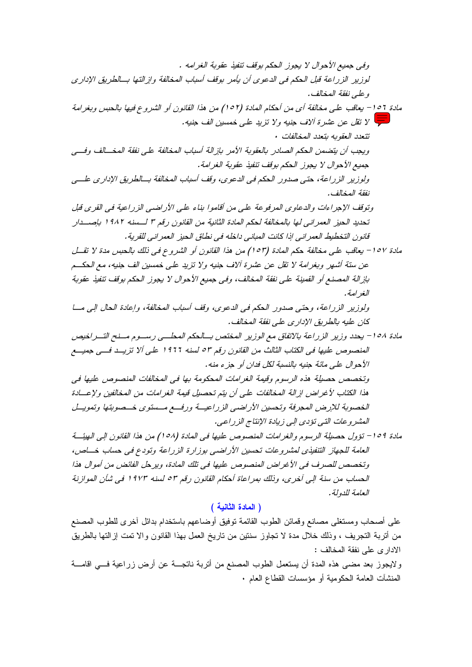على أصحاب ومستغلى مصانع وقمائن الطوب القائمة توفيق أوضاعهم باستخدام بدائل أخرى للطوب المصنع من أنربة النجريف ، وذلك خلال مدة لا نجاوز سنتين من ناريخ العمل بهذا القانون والا نمت إزالتها بالطريق الادارى على نفقة المخالف :

ولايجوز بعد مضى هذه المدة أن يستعمل الطوب المصنع من أنربة ناتجـــة عن أرض زراعية فـــي اقامـــة المنشأت العامة الحكومية أو مؤسسات القطاع العام .